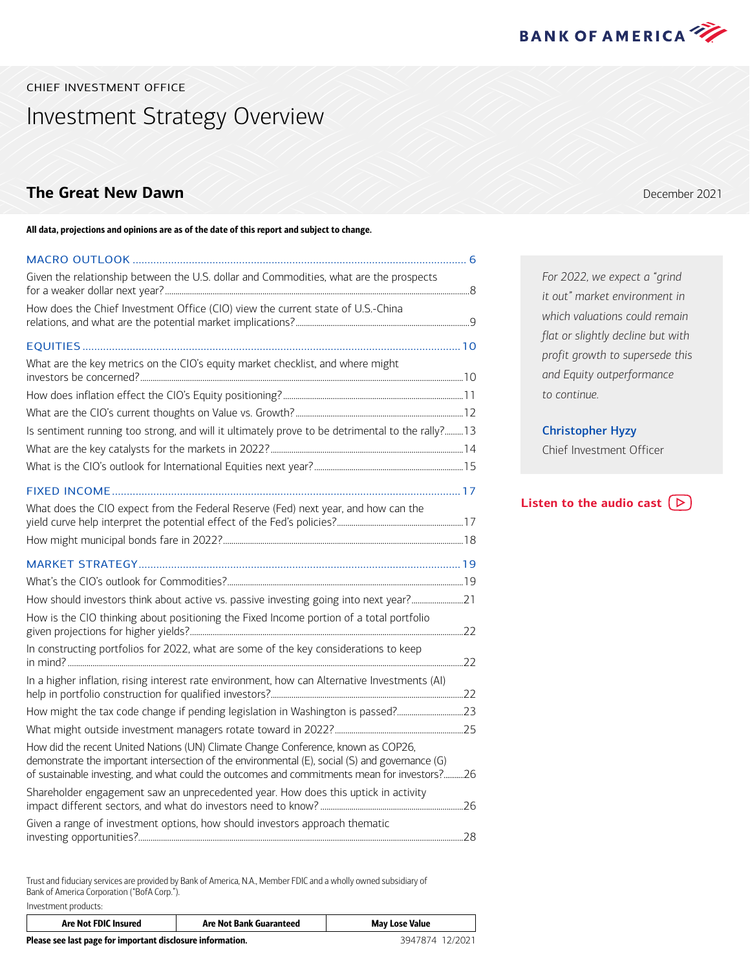

<span id="page-0-0"></span>CHIEF INVESTMENT OFFICE

Investment Strategy Overview

### **The Great New Dawn December 2021**

All data, projections and opinions are as of the date of this report and subject to change.

### [MACRO OUTLOOK .................................................................................................................](#page-5-0) 6 [Given the relationship between the U.S. dollar and Commodities, what are the prospects](#page-7-0)  for a weaker dollar next year? [...................................................................................................................................................8](#page-7-0) [How does the Chief Investment Office \(CIO\) view the current state of U.S.-China](#page-8-0)  [relations, and what are the potential market implications? ....................................................................................9](#page-8-0) EQUITIES [................................................................................................................................10](#page-9-0) [What are the key metrics on the CIO's equity market checklist, and where might](#page-9-0)  [investors be concerned?............................................................................................................................................................10](#page-9-0) [How does inflation effect the CIO's Equity positioning? .......................................................................................11](#page-10-0) [What are the CIO's current thoughts on Value vs. Growth? .................................................................................12](#page-11-0) Is sentiment running too strong, and will it ultimately prove to be detrimental to the rally?.........13 [What are the key catalysts for the markets in 2022? .............................................................................................14](#page-13-0) [What is the CIO's outlook for International Equities next year? ........................................................................15](#page-14-0) [FIXED INCOME ......................................................................................................................17](#page-16-0) [What does the CIO expect from the Federal Reserve \(Fed\) next year, and how can the](#page-16-0)  [yield curve help interpret the potential effect of the Fed's policies? .............................................................17](#page-16-0) [How might municipal bonds fare in 2022? ....................................................................................................................18](#page-17-0) [MARKET STRATEGY .............................................................................................................19](#page-18-0) [What's the CIO's outlook for Commodities? ..................................................................................................................19](#page-18-0) [How should investors think about active vs. passive investing going into next year? .........................21](#page-20-0) [How is the CIO thinking about positioning the Fixed Income portion of a total portfolio](#page-21-0)  [given projections for higher yields?....................................................................................................................................22](#page-21-0) [In constructing portfolios for 2022, what are some of the key considerations to keep](#page-21-0)  in mind? [...............................................................................................................................................................................................22](#page-21-0) [In a higher inflation, rising interest rate environment, how can Alternative Investments \(AI\)](#page-21-0)  [help in portfolio construction for qualified investors? .............................................................................................22](#page-21-0) [How might the tax code change if pending legislation in Washington is passed?................................23](#page-22-0) [What might outside investment managers rotate toward in 2022? ..............................................................25](#page-24-0) [How did the recent United Nations \(UN\) Climate Change Conference, known as COP26,](#page-25-0)  [demonstrate the important intersection of the environmental \(E\), social \(S\) and governance \(G\)](#page-25-0)  [of sustainable investing, and what could the outcomes and commitments mean for investors? ...........26](#page-25-0) [Shareholder engagement saw an unprecedented year. How does this uptick in activity](#page-25-0)  [impact different sectors, and what do investors need to know? .....................................................................26](#page-25-0) [Given a range of investment options, how should investors approach thematic](#page-27-0)  [investing opportunities?.............................................................................................................................................................28](#page-27-0)

Trust and fiduciary services are provided by Bank of America, N.A., Member FDIC and a wholly owned subsidiary of Bank of America Corporation ("BofA Corp."). Investment products:

| Are Not FDIC Insured                                       | Are Not Bank Guaranteed | <b>May Lose Value</b> |  |
|------------------------------------------------------------|-------------------------|-----------------------|--|
| Please see last page for important disclosure information. | 3947874 12/2021         |                       |  |

*For 2022, we expect a "grind it out" market environment in which valuations could remain flat or slightly decline but with profit growth to supersede this and Equity outperformance to continue.*

#### Christopher Hyzy

Chief Investment Officer

**[Listen to the audio cast](https://bcove.video/3GKjtgX)**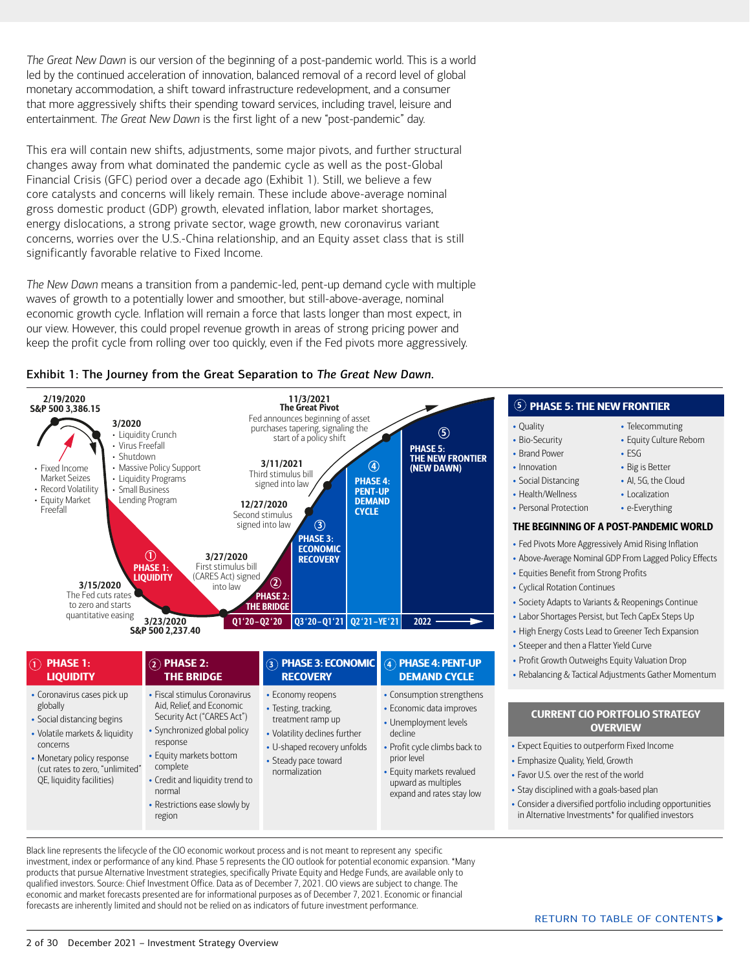*The Great New Dawn* is our version of the beginning of a post-pandemic world. This is a world led by the continued acceleration of innovation, balanced removal of a record level of global monetary accommodation, a shift toward infrastructure redevelopment, and a consumer that more aggressively shifts their spending toward services, including travel, leisure and entertainment. *The Great New Dawn* is the first light of a new "post-pandemic" day.

This era will contain new shifts, adjustments, some major pivots, and further structural changes away from what dominated the pandemic cycle as well as the post-Global Financial Crisis (GFC) period over a decade ago (Exhibit 1). Still, we believe a few core catalysts and concerns will likely remain. These include above-average nominal gross domestic product (GDP) growth, elevated inflation, labor market shortages, energy dislocations, a strong private sector, wage growth, new coronavirus variant concerns, worries over the U.S.-China relationship, and an Equity asset class that is still significantly favorable relative to Fixed Income.

*The New Dawn* means a transition from a pandemic-led, pent-up demand cycle with multiple waves of growth to a potentially lower and smoother, but still-above-average, nominal economic growth cycle. Inflation will remain a force that lasts longer than most expect, in our view. However, this could propel revenue growth in areas of strong pricing power and keep the profit cycle from rolling over too quickly, even if the Fed pivots more aggressively.





| $\circledcap$ phase 1:                                                                                                                                                                                            | $(2)$ PHASE 2:                                                                                                                                                                                                                                                      | <b>(3) PHASE 3: ECONOMIC</b>                                                                                                                                            | $\left( 4\right)$ PHASE 4: PENT-UP                                                                                                                                                                                         | • Profit Growth Outweighs Equity Valuation                                                                                                                                                                                                                                                                                         |
|-------------------------------------------------------------------------------------------------------------------------------------------------------------------------------------------------------------------|---------------------------------------------------------------------------------------------------------------------------------------------------------------------------------------------------------------------------------------------------------------------|-------------------------------------------------------------------------------------------------------------------------------------------------------------------------|----------------------------------------------------------------------------------------------------------------------------------------------------------------------------------------------------------------------------|------------------------------------------------------------------------------------------------------------------------------------------------------------------------------------------------------------------------------------------------------------------------------------------------------------------------------------|
| <b>LIQUIDITY</b>                                                                                                                                                                                                  | <b>THE BRIDGE</b>                                                                                                                                                                                                                                                   | <b>RECOVERY</b>                                                                                                                                                         | <b>DEMAND CYCLE</b>                                                                                                                                                                                                        | • Rebalancing & Tactical Adjustments Gath                                                                                                                                                                                                                                                                                          |
| • Coronavirus cases pick up<br>globally<br>• Social distancing begins<br>• Volatile markets & liquidity<br>concerns<br>• Monetary policy response<br>(cut rates to zero, "unlimited"<br>QE, liquidity facilities) | • Fiscal stimulus Coronavirus<br>Aid, Relief, and Economic<br>Security Act ("CARES Act")<br>• Synchronized global policy<br>response<br>• Equity markets bottom<br>complete<br>• Credit and liquidity trend to<br>normal<br>• Restrictions ease slowly by<br>region | • Economy reopens<br>• Testing, tracking,<br>treatment ramp up<br>• Volatility declines further<br>• U-shaped recovery unfolds<br>• Steady pace toward<br>normalization | • Consumption strengthens<br>• Economic data improves<br>• Unemployment levels<br>decline<br>• Profit cycle climbs back to<br>prior level<br>• Equity markets revalued<br>upward as multiples<br>expand and rates stay low | <b>CURRENT CIO PORTFOLIO ST</b><br><b>OVERVIEW</b><br>• Expect Equities to outperform Fixed Incor<br>• Emphasize Quality, Yield, Growth<br>• Favor U.S. over the rest of the world<br>• Stay disciplined with a goals-based plan<br>• Consider a diversified portfolio including o<br>in Alternative Investments* for qualified in |

Black line represents the lifecycle of the CIO economic workout process and is not meant to represent any specific investment, index or performance of any kind. Phase 5 represents the CIO outlook for potential economic expansion. \*Many products that pursue Alternative Investment strategies, specifically Private Equity and Hedge Funds, are available only to qualified investors. Source: Chief Investment Office. Data as of December 7, 2021. CIO views are subject to change. The economic and market forecasts presented are for informational purposes as of December 7, 2021. Economic or financial forecasts are inherently limited and should not be relied on as indicators of future investment performance.

### $5)$  PHASE 5: THE NEW FRONTIER

- Quality
- Bio-Security
- Brand Power
- Innovation
- Social Distancing
- Health/Wellness
- Personal Protection

#### THE BEGINNING OF A POST-PANDEMIC WORLD

• Telecommuting • Equity Culture Reborn

• ESG • Big is Better • AI, 5G, the Cloud • Localization • e-Everything

- Fed Pivots More Aggressively Amid Rising Inflation
- Above-Average Nominal GDP From Lagged Policy Effects
- Equities Benefit from Strong Profits
- Cyclical Rotation Continues
- Society Adapts to Variants & Reopenings Continue
- Labor Shortages Persist, but Tech CapEx Steps Up
- High Energy Costs Lead to Greener Tech Expansion
- Steeper and then a Flatter Yield Curve
- Profit Growth Outweighs Equity Valuation Drop
- er Momentum

# RATEGY

- Expect Equities to outperform Fixed Income
- Consider a diversified portfolio including opportunities ...<br>מער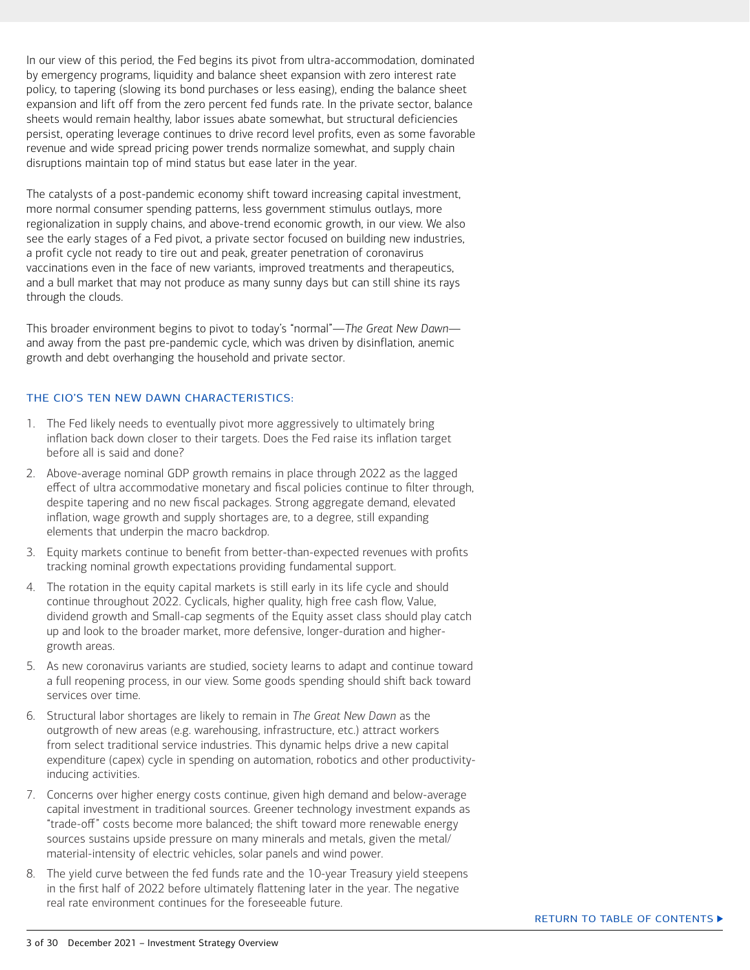In our view of this period, the Fed begins its pivot from ultra-accommodation, dominated by emergency programs, liquidity and balance sheet expansion with zero interest rate policy, to tapering (slowing its bond purchases or less easing), ending the balance sheet expansion and lift off from the zero percent fed funds rate. In the private sector, balance sheets would remain healthy, labor issues abate somewhat, but structural deficiencies persist, operating leverage continues to drive record level profits, even as some favorable revenue and wide spread pricing power trends normalize somewhat, and supply chain disruptions maintain top of mind status but ease later in the year.

The catalysts of a post-pandemic economy shift toward increasing capital investment, more normal consumer spending patterns, less government stimulus outlays, more regionalization in supply chains, and above-trend economic growth, in our view. We also see the early stages of a Fed pivot, a private sector focused on building new industries, a profit cycle not ready to tire out and peak, greater penetration of coronavirus vaccinations even in the face of new variants, improved treatments and therapeutics, and a bull market that may not produce as many sunny days but can still shine its rays through the clouds.

This broader environment begins to pivot to today's "normal"—*The Great New Dawn* and away from the past pre-pandemic cycle, which was driven by disinflation, anemic growth and debt overhanging the household and private sector.

#### THE CIO'S TEN NEW DAWN CHARACTERISTICS:

- 1. The Fed likely needs to eventually pivot more aggressively to ultimately bring inflation back down closer to their targets. Does the Fed raise its inflation target before all is said and done?
- 2. Above-average nominal GDP growth remains in place through 2022 as the lagged effect of ultra accommodative monetary and fiscal policies continue to filter through, despite tapering and no new fiscal packages. Strong aggregate demand, elevated inflation, wage growth and supply shortages are, to a degree, still expanding elements that underpin the macro backdrop.
- 3. Equity markets continue to benefit from better-than-expected revenues with profits tracking nominal growth expectations providing fundamental support.
- 4. The rotation in the equity capital markets is still early in its life cycle and should continue throughout 2022. Cyclicals, higher quality, high free cash flow, Value, dividend growth and Small-cap segments of the Equity asset class should play catch up and look to the broader market, more defensive, longer-duration and highergrowth areas.
- 5. As new coronavirus variants are studied, society learns to adapt and continue toward a full reopening process, in our view. Some goods spending should shift back toward services over time.
- 6. Structural labor shortages are likely to remain in *The Great New Dawn* as the outgrowth of new areas (e.g. warehousing, infrastructure, etc.) attract workers from select traditional service industries. This dynamic helps drive a new capital expenditure (capex) cycle in spending on automation, robotics and other productivityinducing activities.
- 7. Concerns over higher energy costs continue, given high demand and below-average capital investment in traditional sources. Greener technology investment expands as "trade-off" costs become more balanced; the shift toward more renewable energy sources sustains upside pressure on many minerals and metals, given the metal/ material-intensity of electric vehicles, solar panels and wind power.
- 8. The yield curve between the fed funds rate and the 10-year Treasury yield steepens in the first half of 2022 before ultimately flattening later in the year. The negative real rate environment continues for the foreseeable future.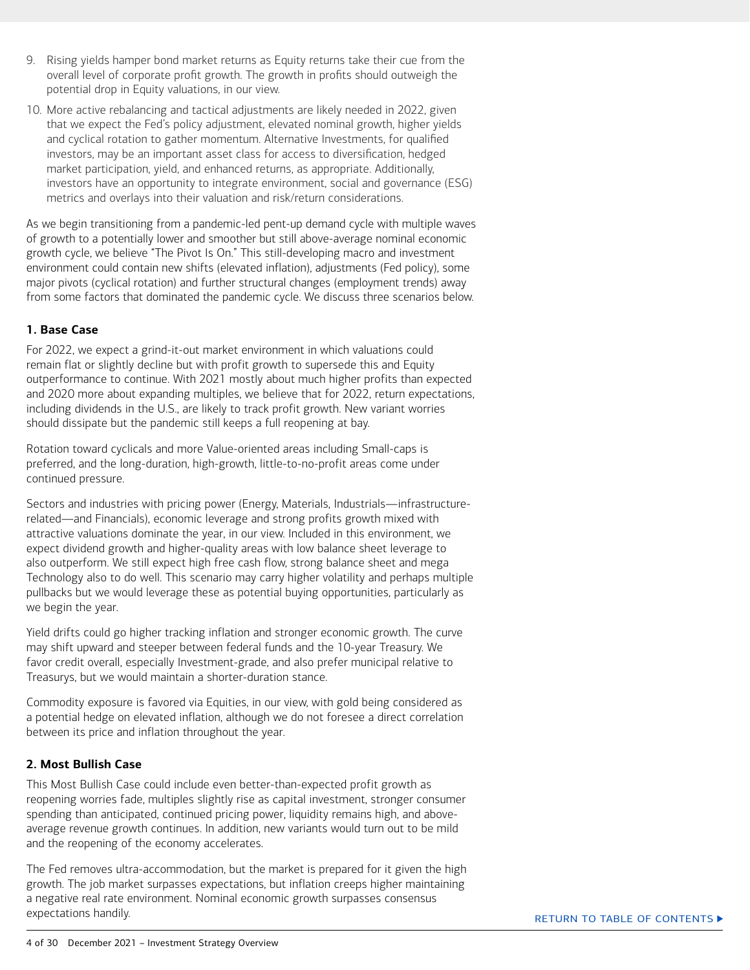- 9. Rising yields hamper bond market returns as Equity returns take their cue from the overall level of corporate profit growth. The growth in profits should outweigh the potential drop in Equity valuations, in our view.
- 10. More active rebalancing and tactical adjustments are likely needed in 2022, given that we expect the Fed's policy adjustment, elevated nominal growth, higher yields and cyclical rotation to gather momentum. Alternative Investments, for qualified investors, may be an important asset class for access to diversification, hedged market participation, yield, and enhanced returns, as appropriate. Additionally, investors have an opportunity to integrate environment, social and governance (ESG) metrics and overlays into their valuation and risk/return considerations.

As we begin transitioning from a pandemic-led pent-up demand cycle with multiple waves of growth to a potentially lower and smoother but still above-average nominal economic growth cycle, we believe "The Pivot Is On." This still-developing macro and investment environment could contain new shifts (elevated inflation), adjustments (Fed policy), some major pivots (cyclical rotation) and further structural changes (employment trends) away from some factors that dominated the pandemic cycle. We discuss three scenarios below.

#### **1. Base Case**

For 2022, we expect a grind-it-out market environment in which valuations could remain flat or slightly decline but with profit growth to supersede this and Equity outperformance to continue. With 2021 mostly about much higher profits than expected and 2020 more about expanding multiples, we believe that for 2022, return expectations, including dividends in the U.S., are likely to track profit growth. New variant worries should dissipate but the pandemic still keeps a full reopening at bay.

Rotation toward cyclicals and more Value-oriented areas including Small-caps is preferred, and the long-duration, high-growth, little-to-no-profit areas come under continued pressure.

Sectors and industries with pricing power (Energy, Materials, Industrials—infrastructurerelated―and Financials), economic leverage and strong profits growth mixed with attractive valuations dominate the year, in our view. Included in this environment, we expect dividend growth and higher-quality areas with low balance sheet leverage to also outperform. We still expect high free cash flow, strong balance sheet and mega Technology also to do well. This scenario may carry higher volatility and perhaps multiple pullbacks but we would leverage these as potential buying opportunities, particularly as we begin the year.

Yield drifts could go higher tracking inflation and stronger economic growth. The curve may shift upward and steeper between federal funds and the 10-year Treasury. We favor credit overall, especially Investment-grade, and also prefer municipal relative to Treasurys, but we would maintain a shorter-duration stance.

Commodity exposure is favored via Equities, in our view, with gold being considered as a potential hedge on elevated inflation, although we do not foresee a direct correlation between its price and inflation throughout the year.

#### **2. Most Bullish Case**

This Most Bullish Case could include even better-than-expected profit growth as reopening worries fade, multiples slightly rise as capital investment, stronger consumer spending than anticipated, continued pricing power, liquidity remains high, and aboveaverage revenue growth continues. In addition, new variants would turn out to be mild and the reopening of the economy accelerates.

The Fed removes ultra-accommodation, but the market is prepared for it given the high growth. The job market surpasses expectations, but inflation creeps higher maintaining a negative real rate environment. Nominal economic growth surpasses consensus expectations handily.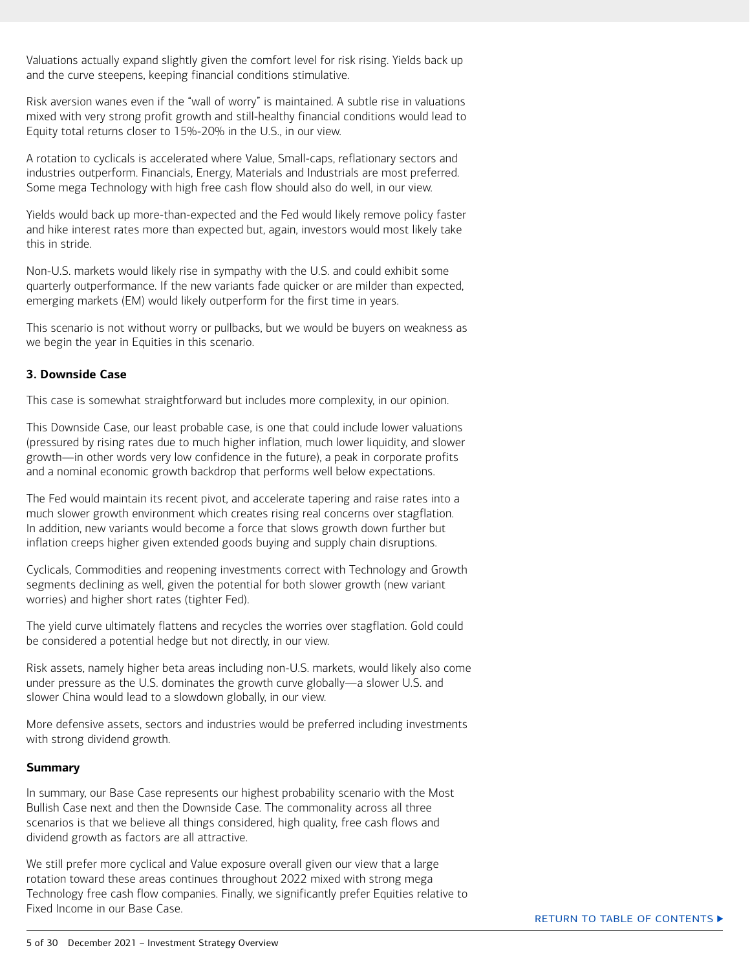Valuations actually expand slightly given the comfort level for risk rising. Yields back up and the curve steepens, keeping financial conditions stimulative.

Risk aversion wanes even if the "wall of worry" is maintained. A subtle rise in valuations mixed with very strong profit growth and still-healthy financial conditions would lead to Equity total returns closer to 15%-20% in the U.S., in our view.

A rotation to cyclicals is accelerated where Value, Small-caps, reflationary sectors and industries outperform. Financials, Energy, Materials and Industrials are most preferred. Some mega Technology with high free cash flow should also do well, in our view.

Yields would back up more-than-expected and the Fed would likely remove policy faster and hike interest rates more than expected but, again, investors would most likely take this in stride.

Non-U.S. markets would likely rise in sympathy with the U.S. and could exhibit some quarterly outperformance. If the new variants fade quicker or are milder than expected, emerging markets (EM) would likely outperform for the first time in years.

This scenario is not without worry or pullbacks, but we would be buyers on weakness as we begin the year in Equities in this scenario.

#### **3. Downside Case**

This case is somewhat straightforward but includes more complexity, in our opinion.

This Downside Case, our least probable case, is one that could include lower valuations (pressured by rising rates due to much higher inflation, much lower liquidity, and slower growth―in other words very low confidence in the future), a peak in corporate profits and a nominal economic growth backdrop that performs well below expectations.

The Fed would maintain its recent pivot, and accelerate tapering and raise rates into a much slower growth environment which creates rising real concerns over stagflation. In addition, new variants would become a force that slows growth down further but inflation creeps higher given extended goods buying and supply chain disruptions.

Cyclicals, Commodities and reopening investments correct with Technology and Growth segments declining as well, given the potential for both slower growth (new variant worries) and higher short rates (tighter Fed).

The yield curve ultimately flattens and recycles the worries over stagflation. Gold could be considered a potential hedge but not directly, in our view.

Risk assets, namely higher beta areas including non-U.S. markets, would likely also come under pressure as the U.S. dominates the growth curve globally―a slower U.S. and slower China would lead to a slowdown globally, in our view.

More defensive assets, sectors and industries would be preferred including investments with strong dividend growth.

#### **Summary**

In summary, our Base Case represents our highest probability scenario with the Most Bullish Case next and then the Downside Case. The commonality across all three scenarios is that we believe all things considered, high quality, free cash flows and dividend growth as factors are all attractive.

We still prefer more cyclical and Value exposure overall given our view that a large rotation toward these areas continues throughout 2022 mixed with strong mega Technology free cash flow companies. Finally, we significantly prefer Equities relative to Fixed Income in our Base Case.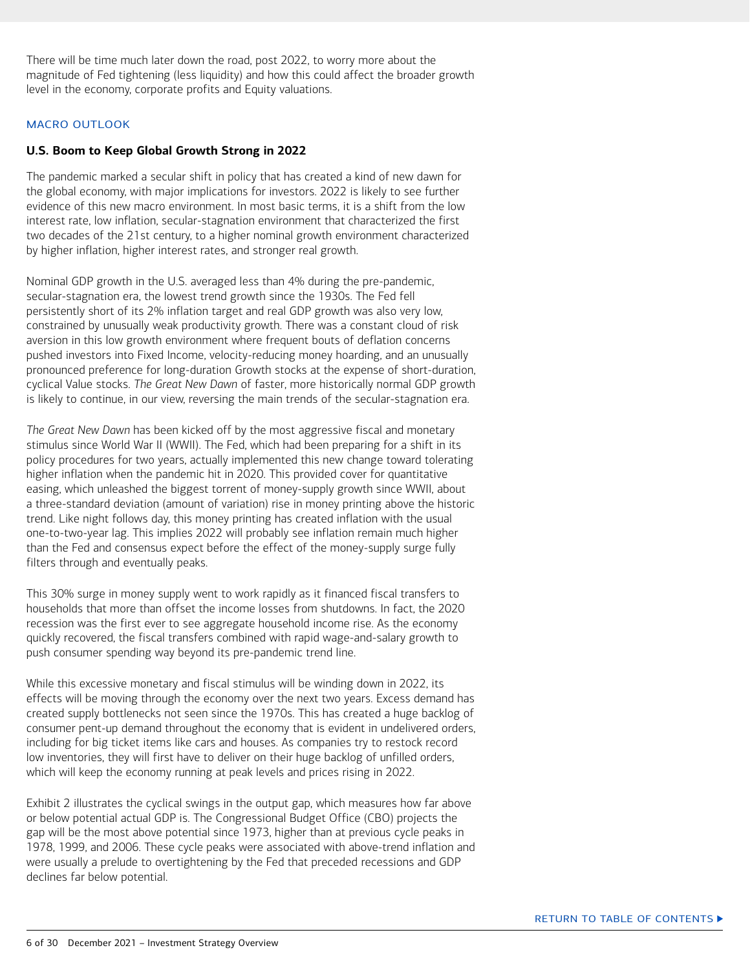<span id="page-5-0"></span>There will be time much later down the road, post 2022, to worry more about the magnitude of Fed tightening (less liquidity) and how this could affect the broader growth level in the economy, corporate profits and Equity valuations.

#### MACRO OUTLOOK

#### **U.S. Boom to Keep Global Growth Strong in 2022**

The pandemic marked a secular shift in policy that has created a kind of new dawn for the global economy, with major implications for investors. 2022 is likely to see further evidence of this new macro environment. In most basic terms, it is a shift from the low interest rate, low inflation, secular-stagnation environment that characterized the first two decades of the 21st century, to a higher nominal growth environment characterized by higher inflation, higher interest rates, and stronger real growth.

Nominal GDP growth in the U.S. averaged less than 4% during the pre-pandemic, secular-stagnation era, the lowest trend growth since the 1930s. The Fed fell persistently short of its 2% inflation target and real GDP growth was also very low, constrained by unusually weak productivity growth. There was a constant cloud of risk aversion in this low growth environment where frequent bouts of deflation concerns pushed investors into Fixed Income, velocity-reducing money hoarding, and an unusually pronounced preference for long-duration Growth stocks at the expense of short-duration, cyclical Value stocks. *The Great New Dawn* of faster, more historically normal GDP growth is likely to continue, in our view, reversing the main trends of the secular-stagnation era.

*The Great New Dawn* has been kicked off by the most aggressive fiscal and monetary stimulus since World War II (WWII). The Fed, which had been preparing for a shift in its policy procedures for two years, actually implemented this new change toward tolerating higher inflation when the pandemic hit in 2020. This provided cover for quantitative easing, which unleashed the biggest torrent of money-supply growth since WWII, about a three-standard deviation (amount of variation) rise in money printing above the historic trend. Like night follows day, this money printing has created inflation with the usual one-to-two-year lag. This implies 2022 will probably see inflation remain much higher than the Fed and consensus expect before the effect of the money-supply surge fully filters through and eventually peaks.

This 30% surge in money supply went to work rapidly as it financed fiscal transfers to households that more than offset the income losses from shutdowns. In fact, the 2020 recession was the first ever to see aggregate household income rise. As the economy quickly recovered, the fiscal transfers combined with rapid wage-and-salary growth to push consumer spending way beyond its pre-pandemic trend line.

While this excessive monetary and fiscal stimulus will be winding down in 2022, its effects will be moving through the economy over the next two years. Excess demand has created supply bottlenecks not seen since the 1970s. This has created a huge backlog of consumer pent-up demand throughout the economy that is evident in undelivered orders, including for big ticket items like cars and houses. As companies try to restock record low inventories, they will first have to deliver on their huge backlog of unfilled orders, which will keep the economy running at peak levels and prices rising in 2022.

Exhibit 2 illustrates the cyclical swings in the output gap, which measures how far above or below potential actual GDP is. The Congressional Budget Office (CBO) projects the gap will be the most above potential since 1973, higher than at previous cycle peaks in 1978, 1999, and 2006. These cycle peaks were associated with above-trend inflation and were usually a prelude to overtightening by the Fed that preceded recessions and GDP declines far below potential.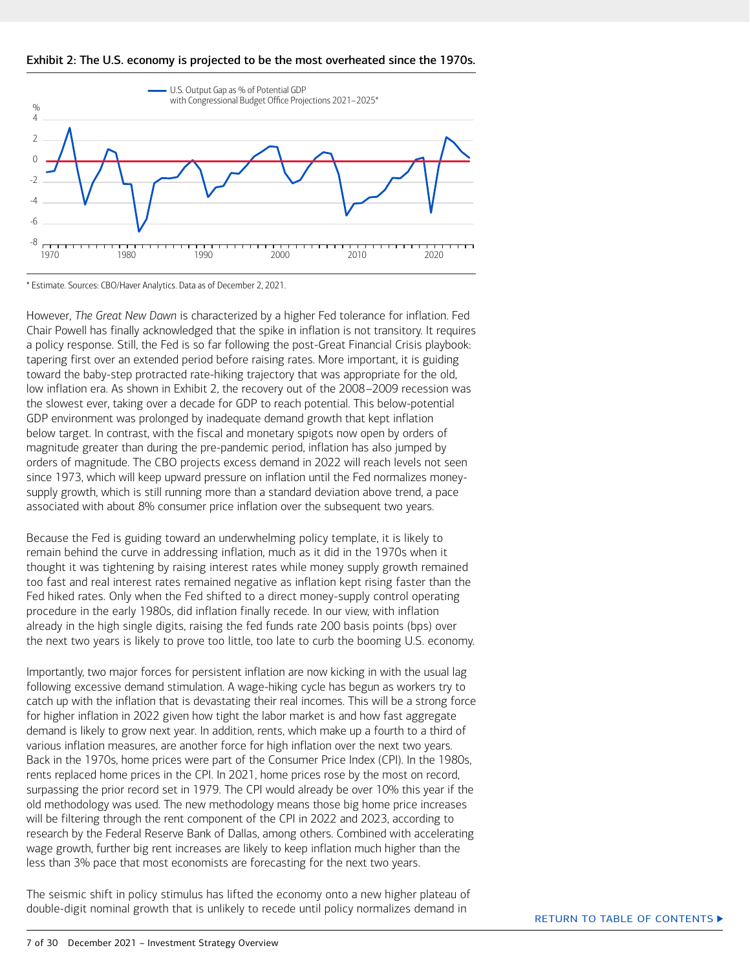



\* Estimate. Sources: CBO/Haver Analytics. Data as of December 2, 2021.

However, *The Great New Dawn* is characterized by a higher Fed tolerance for inflation. Fed Chair Powell has finally acknowledged that the spike in inflation is not transitory. It requires a policy response. Still, the Fed is so far following the post-Great Financial Crisis playbook: tapering first over an extended period before raising rates. More important, it is guiding toward the baby-step protracted rate-hiking trajectory that was appropriate for the old, low inflation era. As shown in Exhibit 2, the recovery out of the 2008–2009 recession was the slowest ever, taking over a decade for GDP to reach potential. This below-potential GDP environment was prolonged by inadequate demand growth that kept inflation below target. In contrast, with the fiscal and monetary spigots now open by orders of magnitude greater than during the pre-pandemic period, inflation has also jumped by orders of magnitude. The CBO projects excess demand in 2022 will reach levels not seen since 1973, which will keep upward pressure on inflation until the Fed normalizes moneysupply growth, which is still running more than a standard deviation above trend, a pace associated with about 8% consumer price inflation over the subsequent two years.

Because the Fed is guiding toward an underwhelming policy template, it is likely to remain behind the curve in addressing inflation, much as it did in the 1970s when it thought it was tightening by raising interest rates while money supply growth remained too fast and real interest rates remained negative as inflation kept rising faster than the Fed hiked rates. Only when the Fed shifted to a direct money-supply control operating procedure in the early 1980s, did inflation finally recede. In our view, with inflation already in the high single digits, raising the fed funds rate 200 basis points (bps) over the next two years is likely to prove too little, too late to curb the booming U.S. economy.

Importantly, two major forces for persistent inflation are now kicking in with the usual lag following excessive demand stimulation. A wage-hiking cycle has begun as workers try to catch up with the inflation that is devastating their real incomes. This will be a strong force for higher inflation in 2022 given how tight the labor market is and how fast aggregate demand is likely to grow next year. In addition, rents, which make up a fourth to a third of various inflation measures, are another force for high inflation over the next two years. Back in the 1970s, home prices were part of the Consumer Price Index (CPI). In the 1980s, rents replaced home prices in the CPI. In 2021, home prices rose by the most on record, surpassing the prior record set in 1979. The CPI would already be over 10% this year if the old methodology was used. The new methodology means those big home price increases will be filtering through the rent component of the CPI in 2022 and 2023, according to research by the Federal Reserve Bank of Dallas, among others. Combined with accelerating wage growth, further big rent increases are likely to keep inflation much higher than the less than 3% pace that most economists are forecasting for the next two years.

The seismic shift in policy stimulus has lifted the economy onto a new higher plateau of double-digit nominal growth that is unlikely to recede until policy normalizes demand in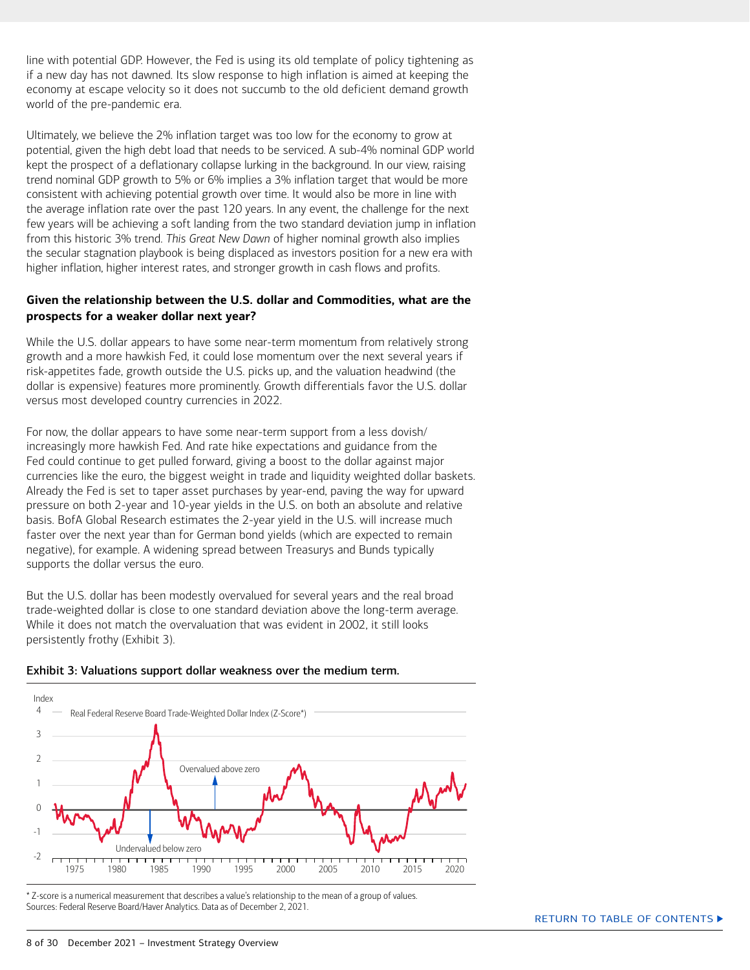<span id="page-7-0"></span>line with potential GDP. However, the Fed is using its old template of policy tightening as if a new day has not dawned. Its slow response to high inflation is aimed at keeping the economy at escape velocity so it does not succumb to the old deficient demand growth world of the pre-pandemic era.

Ultimately, we believe the 2% inflation target was too low for the economy to grow at potential, given the high debt load that needs to be serviced. A sub-4% nominal GDP world kept the prospect of a deflationary collapse lurking in the background. In our view, raising trend nominal GDP growth to 5% or 6% implies a 3% inflation target that would be more consistent with achieving potential growth over time. It would also be more in line with the average inflation rate over the past 120 years. In any event, the challenge for the next few years will be achieving a soft landing from the two standard deviation jump in inflation from this historic 3% trend. *This Great New Dawn* of higher nominal growth also implies the secular stagnation playbook is being displaced as investors position for a new era with higher inflation, higher interest rates, and stronger growth in cash flows and profits.

#### **Given the relationship between the U.S. dollar and Commodities, what are the prospects for a weaker dollar next year?**

While the U.S. dollar appears to have some near-term momentum from relatively strong growth and a more hawkish Fed, it could lose momentum over the next several years if risk-appetites fade, growth outside the U.S. picks up, and the valuation headwind (the dollar is expensive) features more prominently. Growth differentials favor the U.S. dollar versus most developed country currencies in 2022.

For now, the dollar appears to have some near-term support from a less dovish/ increasingly more hawkish Fed. And rate hike expectations and guidance from the Fed could continue to get pulled forward, giving a boost to the dollar against major currencies like the euro, the biggest weight in trade and liquidity weighted dollar baskets. Already the Fed is set to taper asset purchases by year-end, paving the way for upward pressure on both 2-year and 10-year yields in the U.S. on both an absolute and relative basis. BofA Global Research estimates the 2-year yield in the U.S. will increase much faster over the next year than for German bond yields (which are expected to remain negative), for example. A widening spread between Treasurys and Bunds typically supports the dollar versus the euro.

But the U.S. dollar has been modestly overvalued for several years and the real broad trade-weighted dollar is close to one standard deviation above the long-term average. While it does not match the overvaluation that was evident in 2002, it still looks persistently frothy (Exhibit 3).





\* Z-score is a numerical measurement that describes a value's relationship to the mean of a group of values. Sources: Federal Reserve Board/Haver Analytics. Data as of December 2, 2021.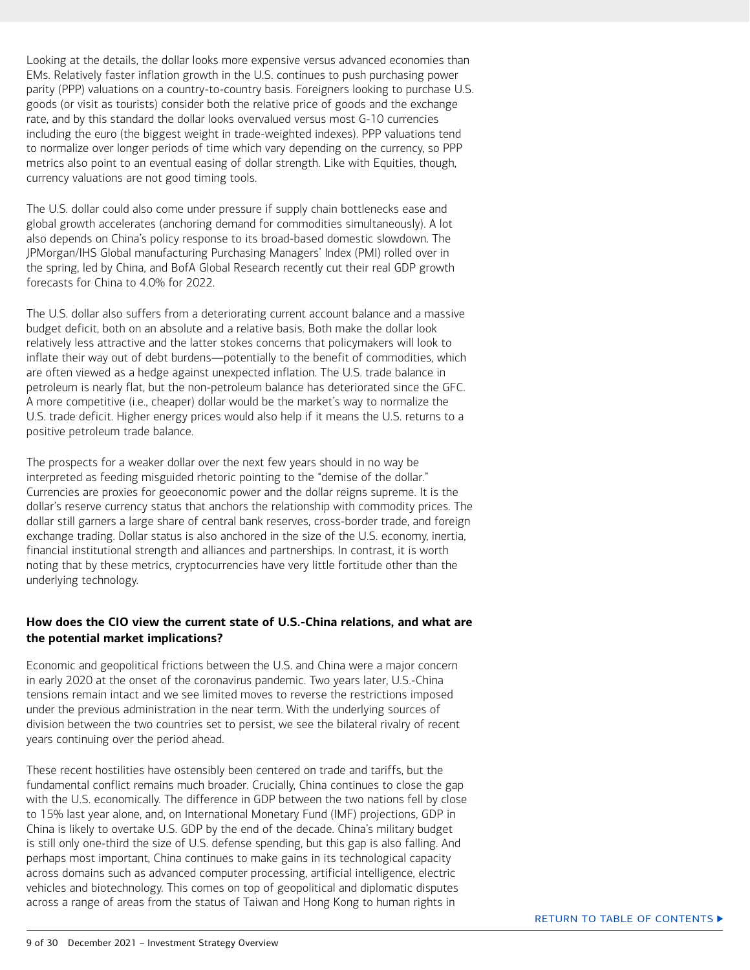<span id="page-8-0"></span>Looking at the details, the dollar looks more expensive versus advanced economies than EMs. Relatively faster inflation growth in the U.S. continues to push purchasing power parity (PPP) valuations on a country-to-country basis. Foreigners looking to purchase U.S. goods (or visit as tourists) consider both the relative price of goods and the exchange rate, and by this standard the dollar looks overvalued versus most G-10 currencies including the euro (the biggest weight in trade-weighted indexes). PPP valuations tend to normalize over longer periods of time which vary depending on the currency, so PPP metrics also point to an eventual easing of dollar strength. Like with Equities, though, currency valuations are not good timing tools.

The U.S. dollar could also come under pressure if supply chain bottlenecks ease and global growth accelerates (anchoring demand for commodities simultaneously). A lot also depends on China's policy response to its broad-based domestic slowdown. The JPMorgan/IHS Global manufacturing Purchasing Managers' Index (PMI) rolled over in the spring, led by China, and BofA Global Research recently cut their real GDP growth forecasts for China to 4.0% for 2022.

The U.S. dollar also suffers from a deteriorating current account balance and a massive budget deficit, both on an absolute and a relative basis. Both make the dollar look relatively less attractive and the latter stokes concerns that policymakers will look to inflate their way out of debt burdens—potentially to the benefit of commodities, which are often viewed as a hedge against unexpected inflation. The U.S. trade balance in petroleum is nearly flat, but the non-petroleum balance has deteriorated since the GFC. A more competitive (i.e., cheaper) dollar would be the market's way to normalize the U.S. trade deficit. Higher energy prices would also help if it means the U.S. returns to a positive petroleum trade balance.

The prospects for a weaker dollar over the next few years should in no way be interpreted as feeding misguided rhetoric pointing to the "demise of the dollar." Currencies are proxies for geoeconomic power and the dollar reigns supreme. It is the dollar's reserve currency status that anchors the relationship with commodity prices. The dollar still garners a large share of central bank reserves, cross-border trade, and foreign exchange trading. Dollar status is also anchored in the size of the U.S. economy, inertia, financial institutional strength and alliances and partnerships. In contrast, it is worth noting that by these metrics, cryptocurrencies have very little fortitude other than the underlying technology.

#### **How does the CIO view the current state of U.S.-China relations, and what are the potential market implications?**

Economic and geopolitical frictions between the U.S. and China were a major concern in early 2020 at the onset of the coronavirus pandemic. Two years later, U.S.-China tensions remain intact and we see limited moves to reverse the restrictions imposed under the previous administration in the near term. With the underlying sources of division between the two countries set to persist, we see the bilateral rivalry of recent years continuing over the period ahead.

These recent hostilities have ostensibly been centered on trade and tariffs, but the fundamental conflict remains much broader. Crucially, China continues to close the gap with the U.S. economically. The difference in GDP between the two nations fell by close to 15% last year alone, and, on International Monetary Fund (IMF) projections, GDP in China is likely to overtake U.S. GDP by the end of the decade. China's military budget is still only one-third the size of U.S. defense spending, but this gap is also falling. And perhaps most important, China continues to make gains in its technological capacity across domains such as advanced computer processing, artificial intelligence, electric vehicles and biotechnology. This comes on top of geopolitical and diplomatic disputes across a range of areas from the status of Taiwan and Hong Kong to human rights in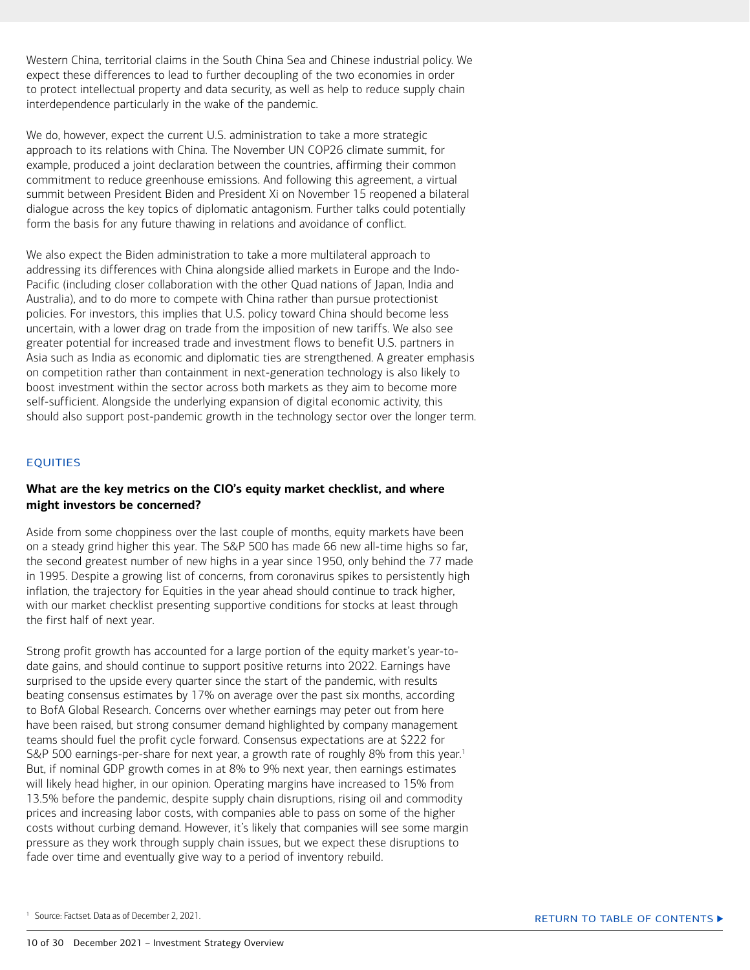<span id="page-9-0"></span>Western China, territorial claims in the South China Sea and Chinese industrial policy. We expect these differences to lead to further decoupling of the two economies in order to protect intellectual property and data security, as well as help to reduce supply chain interdependence particularly in the wake of the pandemic.

We do, however, expect the current U.S. administration to take a more strategic approach to its relations with China. The November UN COP26 climate summit, for example, produced a joint declaration between the countries, affirming their common commitment to reduce greenhouse emissions. And following this agreement, a virtual summit between President Biden and President Xi on November 15 reopened a bilateral dialogue across the key topics of diplomatic antagonism. Further talks could potentially form the basis for any future thawing in relations and avoidance of conflict.

We also expect the Biden administration to take a more multilateral approach to addressing its differences with China alongside allied markets in Europe and the Indo-Pacific (including closer collaboration with the other Quad nations of Japan, India and Australia), and to do more to compete with China rather than pursue protectionist policies. For investors, this implies that U.S. policy toward China should become less uncertain, with a lower drag on trade from the imposition of new tariffs. We also see greater potential for increased trade and investment flows to benefit U.S. partners in Asia such as India as economic and diplomatic ties are strengthened. A greater emphasis on competition rather than containment in next-generation technology is also likely to boost investment within the sector across both markets as they aim to become more self-sufficient. Alongside the underlying expansion of digital economic activity, this should also support post-pandemic growth in the technology sector over the longer term.

#### EQUITIES

#### **What are the key metrics on the CIO's equity market checklist, and where might investors be concerned?**

Aside from some choppiness over the last couple of months, equity markets have been on a steady grind higher this year. The S&P 500 has made 66 new all-time highs so far, the second greatest number of new highs in a year since 1950, only behind the 77 made in 1995. Despite a growing list of concerns, from coronavirus spikes to persistently high inflation, the trajectory for Equities in the year ahead should continue to track higher, with our market checklist presenting supportive conditions for stocks at least through the first half of next year.

Strong profit growth has accounted for a large portion of the equity market's year-todate gains, and should continue to support positive returns into 2022. Earnings have surprised to the upside every quarter since the start of the pandemic, with results beating consensus estimates by 17% on average over the past six months, according to BofA Global Research. Concerns over whether earnings may peter out from here have been raised, but strong consumer demand highlighted by company management teams should fuel the profit cycle forward. Consensus expectations are at \$222 for S&P 500 earnings-per-share for next year, a growth rate of roughly 8% from this year.<sup>1</sup> But, if nominal GDP growth comes in at 8% to 9% next year, then earnings estimates will likely head higher, in our opinion. Operating margins have increased to 15% from 13.5% before the pandemic, despite supply chain disruptions, rising oil and commodity prices and increasing labor costs, with companies able to pass on some of the higher costs without curbing demand. However, it's likely that companies will see some margin pressure as they work through supply chain issues, but we expect these disruptions to fade over time and eventually give way to a period of inventory rebuild.

<sup>&</sup>lt;sup>1</sup> Source: Factset. Data as of December 2, 2021.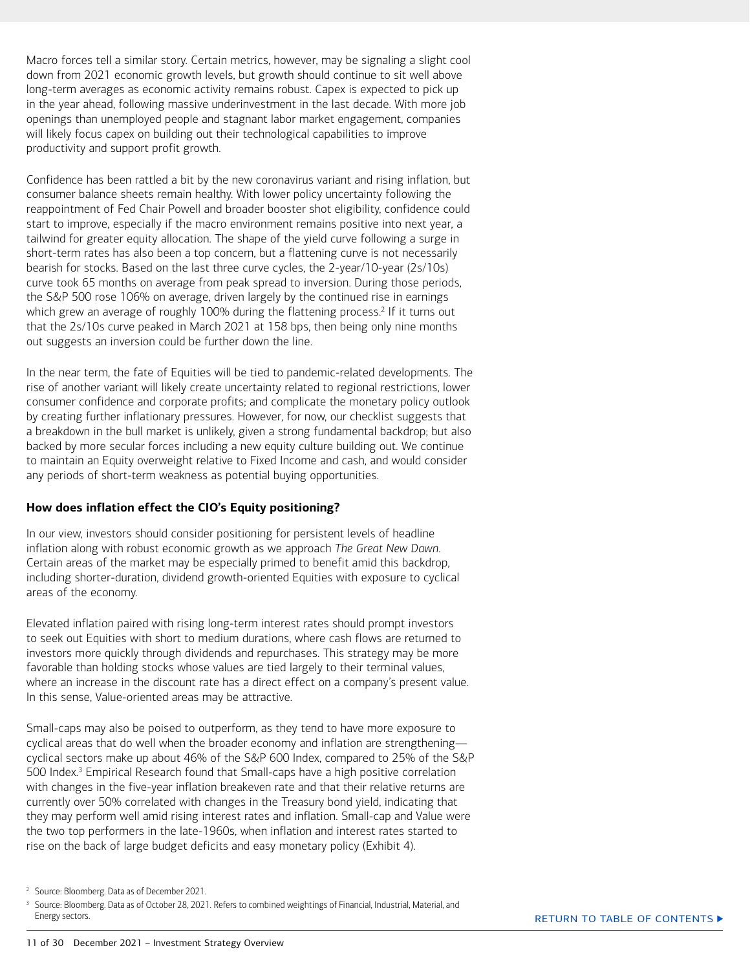<span id="page-10-0"></span>Macro forces tell a similar story. Certain metrics, however, may be signaling a slight cool down from 2021 economic growth levels, but growth should continue to sit well above long-term averages as economic activity remains robust. Capex is expected to pick up in the year ahead, following massive underinvestment in the last decade. With more job openings than unemployed people and stagnant labor market engagement, companies will likely focus capex on building out their technological capabilities to improve productivity and support profit growth.

Confidence has been rattled a bit by the new coronavirus variant and rising inflation, but consumer balance sheets remain healthy. With lower policy uncertainty following the reappointment of Fed Chair Powell and broader booster shot eligibility, confidence could start to improve, especially if the macro environment remains positive into next year, a tailwind for greater equity allocation. The shape of the yield curve following a surge in short-term rates has also been a top concern, but a flattening curve is not necessarily bearish for stocks. Based on the last three curve cycles, the 2-year/10-year (2s/10s) curve took 65 months on average from peak spread to inversion. During those periods, the S&P 500 rose 106% on average, driven largely by the continued rise in earnings which grew an average of roughly 100% during the flattening process.<sup>2</sup> If it turns out that the 2s/10s curve peaked in March 2021 at 158 bps, then being only nine months out suggests an inversion could be further down the line.

In the near term, the fate of Equities will be tied to pandemic-related developments. The rise of another variant will likely create uncertainty related to regional restrictions, lower consumer confidence and corporate profits; and complicate the monetary policy outlook by creating further inflationary pressures. However, for now, our checklist suggests that a breakdown in the bull market is unlikely, given a strong fundamental backdrop; but also backed by more secular forces including a new equity culture building out. We continue to maintain an Equity overweight relative to Fixed Income and cash, and would consider any periods of short-term weakness as potential buying opportunities.

#### **How does inflation effect the CIO's Equity positioning?**

In our view, investors should consider positioning for persistent levels of headline inflation along with robust economic growth as we approach *The Great New Dawn*. Certain areas of the market may be especially primed to benefit amid this backdrop, including shorter-duration, dividend growth-oriented Equities with exposure to cyclical areas of the economy.

Elevated inflation paired with rising long-term interest rates should prompt investors to seek out Equities with short to medium durations, where cash flows are returned to investors more quickly through dividends and repurchases. This strategy may be more favorable than holding stocks whose values are tied largely to their terminal values, where an increase in the discount rate has a direct effect on a company's present value. In this sense, Value-oriented areas may be attractive.

Small-caps may also be poised to outperform, as they tend to have more exposure to cyclical areas that do well when the broader economy and inflation are strengthening cyclical sectors make up about 46% of the S&P 600 Index, compared to 25% of the S&P 500 Index.<sup>3</sup> Empirical Research found that Small-caps have a high positive correlation with changes in the five-year inflation breakeven rate and that their relative returns are currently over 50% correlated with changes in the Treasury bond yield, indicating that they may perform well amid rising interest rates and inflation. Small-cap and Value were the two top performers in the late-1960s, when inflation and interest rates started to rise on the back of large budget deficits and easy monetary policy (Exhibit 4).

3 Source: Bloomberg. Data as of October 28, 2021. Refers to combined weightings of Financial, Industrial, Material, and Energy sectors.

<sup>2</sup> Source: Bloomberg. Data as of December 2021.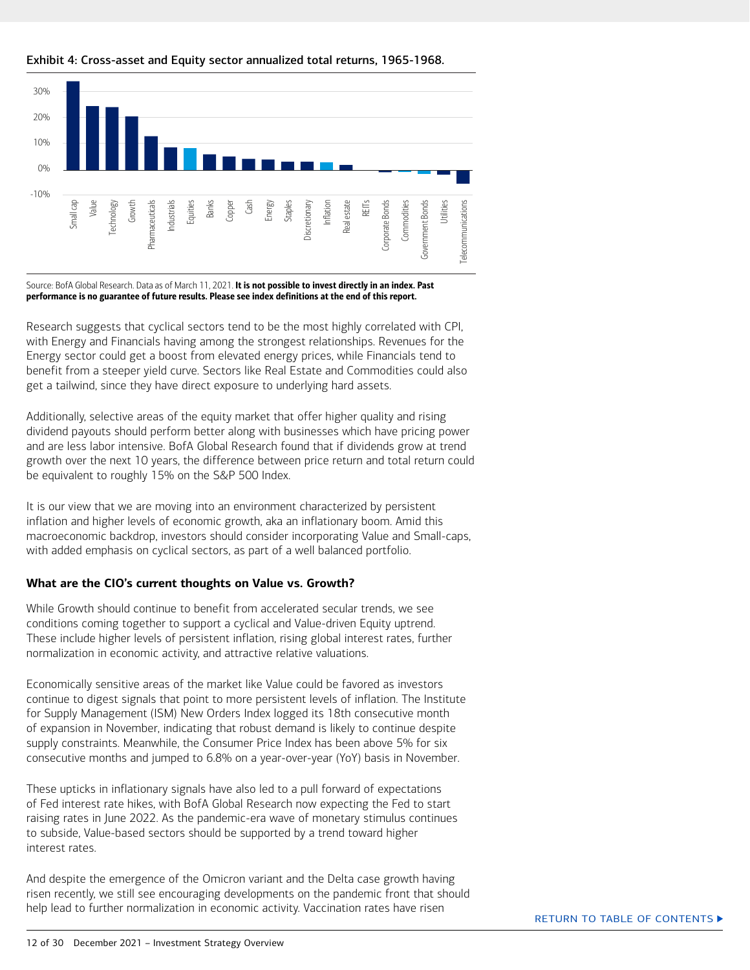

#### <span id="page-11-0"></span>Exhibit 4: Cross-asset and Equity sector annualized total returns, 1965-1968.

Source: BofA Global Research. Data as of March 11, 2021. It is not possible to invest directly in an index. Past performance is no guarantee of future results. Please see index definitions at the end of this report.

Research suggests that cyclical sectors tend to be the most highly correlated with CPI, with Energy and Financials having among the strongest relationships. Revenues for the Energy sector could get a boost from elevated energy prices, while Financials tend to benefit from a steeper yield curve. Sectors like Real Estate and Commodities could also get a tailwind, since they have direct exposure to underlying hard assets.

Additionally, selective areas of the equity market that offer higher quality and rising dividend payouts should perform better along with businesses which have pricing power and are less labor intensive. BofA Global Research found that if dividends grow at trend growth over the next 10 years, the difference between price return and total return could be equivalent to roughly 15% on the S&P 500 Index.

It is our view that we are moving into an environment characterized by persistent inflation and higher levels of economic growth, aka an inflationary boom. Amid this macroeconomic backdrop, investors should consider incorporating Value and Small-caps, with added emphasis on cyclical sectors, as part of a well balanced portfolio.

#### **What are the CIO's current thoughts on Value vs. Growth?**

While Growth should continue to benefit from accelerated secular trends, we see conditions coming together to support a cyclical and Value-driven Equity uptrend. These include higher levels of persistent inflation, rising global interest rates, further normalization in economic activity, and attractive relative valuations.

Economically sensitive areas of the market like Value could be favored as investors continue to digest signals that point to more persistent levels of inflation. The Institute for Supply Management (ISM) New Orders Index logged its 18th consecutive month of expansion in November, indicating that robust demand is likely to continue despite supply constraints. Meanwhile, the Consumer Price Index has been above 5% for six consecutive months and jumped to 6.8% on a year-over-year (YoY) basis in November.

These upticks in inflationary signals have also led to a pull forward of expectations of Fed interest rate hikes, with BofA Global Research now expecting the Fed to start raising rates in June 2022. As the pandemic-era wave of monetary stimulus continues to subside, Value-based sectors should be supported by a trend toward higher interest rates.

And despite the emergence of the Omicron variant and the Delta case growth having risen recently, we still see encouraging developments on the pandemic front that should help lead to further normalization in economic activity. Vaccination rates have risen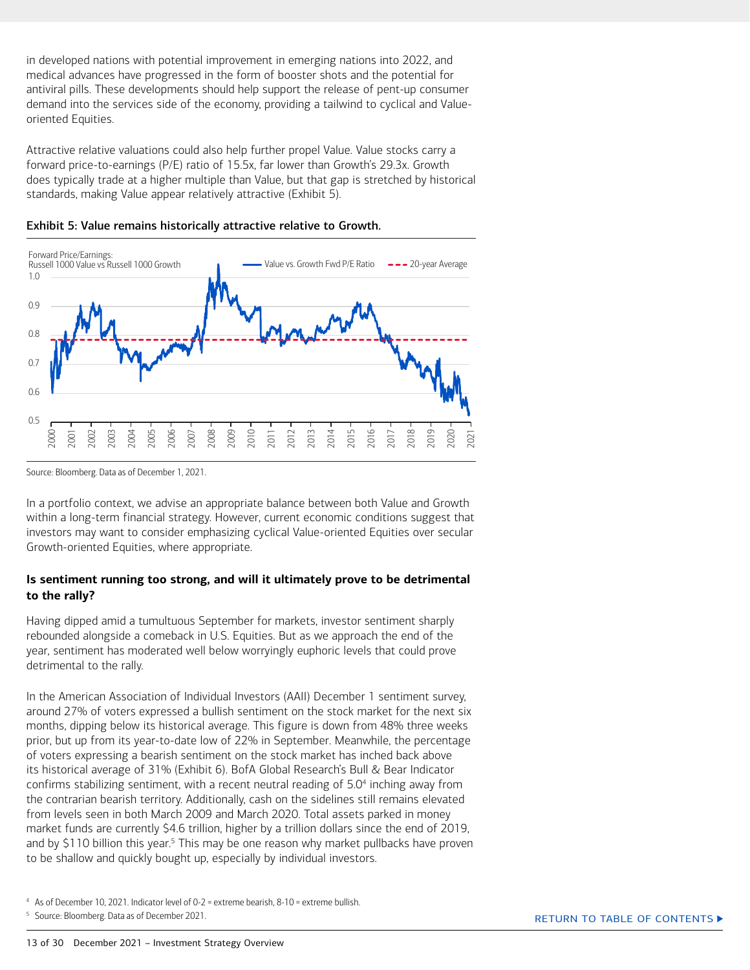<span id="page-12-0"></span>in developed nations with potential improvement in emerging nations into 2022, and medical advances have progressed in the form of booster shots and the potential for antiviral pills. These developments should help support the release of pent-up consumer demand into the services side of the economy, providing a tailwind to cyclical and Valueoriented Equities.

Attractive relative valuations could also help further propel Value. Value stocks carry a forward price-to-earnings (P/E) ratio of 15.5x, far lower than Growth's 29.3x. Growth does typically trade at a higher multiple than Value, but that gap is stretched by historical standards, making Value appear relatively attractive (Exhibit 5).





In a portfolio context, we advise an appropriate balance between both Value and Growth within a long-term financial strategy. However, current economic conditions suggest that investors may want to consider emphasizing cyclical Value-oriented Equities over secular Growth-oriented Equities, where appropriate.

#### **Is sentiment running too strong, and will it ultimately prove to be detrimental to the rally?**

Having dipped amid a tumultuous September for markets, investor sentiment sharply rebounded alongside a comeback in U.S. Equities. But as we approach the end of the year, sentiment has moderated well below worryingly euphoric levels that could prove detrimental to the rally.

In the American Association of Individual Investors (AAII) December 1 sentiment survey, around 27% of voters expressed a bullish sentiment on the stock market for the next six months, dipping below its historical average. This figure is down from 48% three weeks prior, but up from its year-to-date low of 22% in September. Meanwhile, the percentage of voters expressing a bearish sentiment on the stock market has inched back above its historical average of 31% (Exhibit 6). BofA Global Research's Bull & Bear Indicator confirms stabilizing sentiment, with a recent neutral reading of 5.04 inching away from the contrarian bearish territory. Additionally, cash on the sidelines still remains elevated from levels seen in both March 2009 and March 2020. Total assets parked in money market funds are currently \$4.6 trillion, higher by a trillion dollars since the end of 2019, and by \$110 billion this year.<sup>5</sup> This may be one reason why market pullbacks have proven to be shallow and quickly bought up, especially by individual investors.

Source: Bloomberg. Data as of December 1, 2021.

<sup>4</sup> As of December 10, 2021. Indicator level of 0-2 = extreme bearish, 8-10 = extreme bullish.

<sup>&</sup>lt;sup>5</sup> Source: Bloomberg. Data as of December 2021.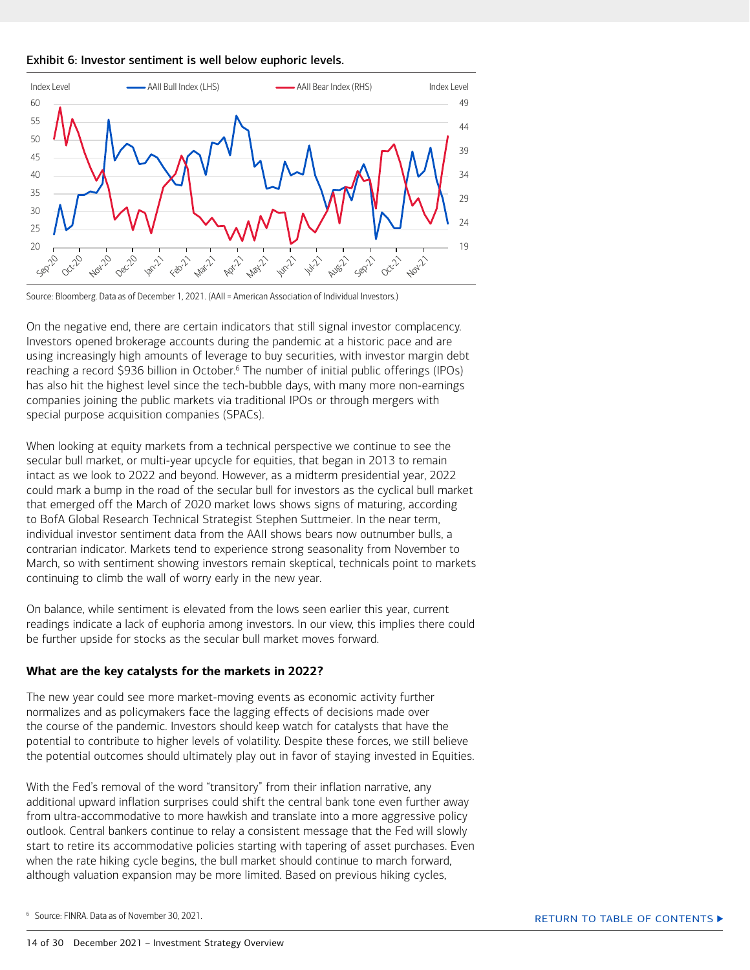<span id="page-13-0"></span>



Source: Bloomberg. Data as of December 1, 2021. (AAII = American Association of Individual Investors.)

On the negative end, there are certain indicators that still signal investor complacency. Investors opened brokerage accounts during the pandemic at a historic pace and are using increasingly high amounts of leverage to buy securities, with investor margin debt reaching a record \$936 billion in October.<sup>6</sup> The number of initial public offerings (IPOs) has also hit the highest level since the tech-bubble days, with many more non-earnings companies joining the public markets via traditional IPOs or through mergers with special purpose acquisition companies (SPACs).

When looking at equity markets from a technical perspective we continue to see the secular bull market, or multi-year upcycle for equities, that began in 2013 to remain intact as we look to 2022 and beyond. However, as a midterm presidential year, 2022 could mark a bump in the road of the secular bull for investors as the cyclical bull market that emerged off the March of 2020 market lows shows signs of maturing, according to BofA Global Research Technical Strategist Stephen Suttmeier. In the near term, individual investor sentiment data from the AAII shows bears now outnumber bulls, a contrarian indicator. Markets tend to experience strong seasonality from November to March, so with sentiment showing investors remain skeptical, technicals point to markets continuing to climb the wall of worry early in the new year.

On balance, while sentiment is elevated from the lows seen earlier this year, current readings indicate a lack of euphoria among investors. In our view, this implies there could be further upside for stocks as the secular bull market moves forward.

#### **What are the key catalysts for the markets in 2022?**

The new year could see more market-moving events as economic activity further normalizes and as policymakers face the lagging effects of decisions made over the course of the pandemic. Investors should keep watch for catalysts that have the potential to contribute to higher levels of volatility. Despite these forces, we still believe the potential outcomes should ultimately play out in favor of staying invested in Equities.

With the Fed's removal of the word "transitory" from their inflation narrative, any additional upward inflation surprises could shift the central bank tone even further away from ultra-accommodative to more hawkish and translate into a more aggressive policy outlook. Central bankers continue to relay a consistent message that the Fed will slowly start to retire its accommodative policies starting with tapering of asset purchases. Even when the rate hiking cycle begins, the bull market should continue to march forward, although valuation expansion may be more limited. Based on previous hiking cycles,

6 Source: FINRA. Data as of November 30, 2021.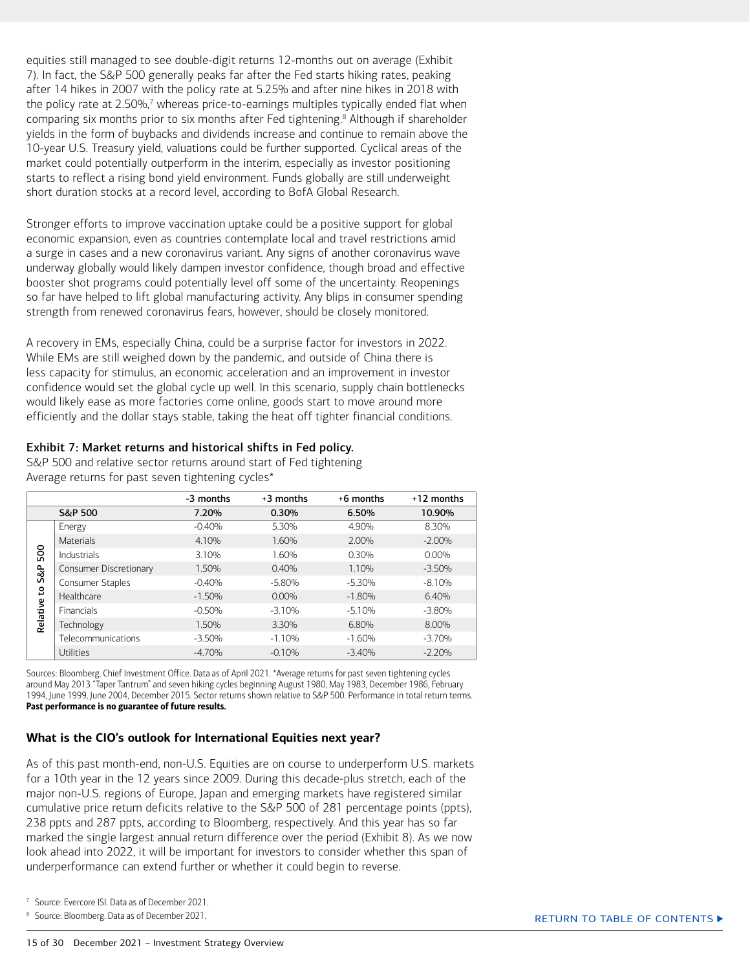<span id="page-14-0"></span>equities still managed to see double-digit returns 12-months out on average (Exhibit 7). In fact, the S&P 500 generally peaks far after the Fed starts hiking rates, peaking after 14 hikes in 2007 with the policy rate at 5.25% and after nine hikes in 2018 with the policy rate at 2.50%,<sup>7</sup> whereas price-to-earnings multiples typically ended flat when comparing six months prior to six months after Fed tightening.<sup>8</sup> Although if shareholder yields in the form of buybacks and dividends increase and continue to remain above the 10-year U.S. Treasury yield, valuations could be further supported. Cyclical areas of the market could potentially outperform in the interim, especially as investor positioning starts to reflect a rising bond yield environment. Funds globally are still underweight short duration stocks at a record level, according to BofA Global Research.

Stronger efforts to improve vaccination uptake could be a positive support for global economic expansion, even as countries contemplate local and travel restrictions amid a surge in cases and a new coronavirus variant. Any signs of another coronavirus wave underway globally would likely dampen investor confidence, though broad and effective booster shot programs could potentially level off some of the uncertainty. Reopenings so far have helped to lift global manufacturing activity. Any blips in consumer spending strength from renewed coronavirus fears, however, should be closely monitored.

A recovery in EMs, especially China, could be a surprise factor for investors in 2022. While EMs are still weighed down by the pandemic, and outside of China there is less capacity for stimulus, an economic acceleration and an improvement in investor confidence would set the global cycle up well. In this scenario, supply chain bottlenecks would likely ease as more factories come online, goods start to move around more efficiently and the dollar stays stable, taking the heat off tighter financial conditions.

#### Exhibit 7: Market returns and historical shifts in Fed policy.

S&P 500 and relative sector returns around start of Fed tightening Average returns for past seven tightening cycles\*

|                                         |                        | -3 months | +3 months | +6 months | +12 months |
|-----------------------------------------|------------------------|-----------|-----------|-----------|------------|
|                                         | S&P 500                | 7.20%     | 0.30%     | 6.50%     | 10.90%     |
| 500<br>$\approx$<br>Ū<br>٩,<br>Relative | Energy                 | $-0.40%$  | 5.30%     | 4.90%     | 8.30%      |
|                                         | <b>Materials</b>       | 4.10%     | 1.60%     | 2.00%     | $-2.00\%$  |
|                                         | Industrials            | 3.10%     | 1.60%     | 0.30%     | $0.00\%$   |
|                                         | Consumer Discretionary | 1.50%     | 0.40%     | 1.10%     | $-3.50%$   |
|                                         | Consumer Staples       | $-0.40%$  | $-5.80%$  | $-5.30%$  | $-8.10%$   |
|                                         | Healthcare             | $-1.50\%$ | $0.00\%$  | $-1.80%$  | 6.40%      |
|                                         | Financials             | $-0.50%$  | $-3.10%$  | $-5.10%$  | $-3.80%$   |
|                                         | Technology             | 1.50%     | 3.30%     | 6.80%     | 8.00%      |
|                                         | Telecommunications     | $-3.50%$  | $-1.10%$  | $-1.60%$  | $-3.70%$   |
|                                         | Utilities              | $-4.70%$  | $-0.10%$  | $-3.40%$  | $-2.20%$   |

Sources: Bloomberg, Chief Investment Office. Data as of April 2021. \*Average returns for past seven tightening cycles around May 2013 "Taper Tantrum" and seven hiking cycles beginning August 1980, May 1983, December 1986, February 1994, June 1999, June 2004, December 2015. Sector returns shown relative to S&P 500. Performance in total return terms. Past performance is no guarantee of future results.

#### **What is the CIO's outlook for International Equities next year?**

As of this past month-end, non-U.S. Equities are on course to underperform U.S. markets for a 10th year in the 12 years since 2009. During this decade-plus stretch, each of the major non-U.S. regions of Europe, Japan and emerging markets have registered similar cumulative price return deficits relative to the S&P 500 of 281 percentage points (ppts), 238 ppts and 287 ppts, according to Bloomberg, respectively. And this year has so far marked the single largest annual return difference over the period (Exhibit 8). As we now look ahead into 2022, it will be important for investors to consider whether this span of underperformance can extend further or whether it could begin to reverse.

7 Source: Evercore ISI. Data as of December 2021.

<sup>8</sup> Source: Bloomberg. Data as of December 2021.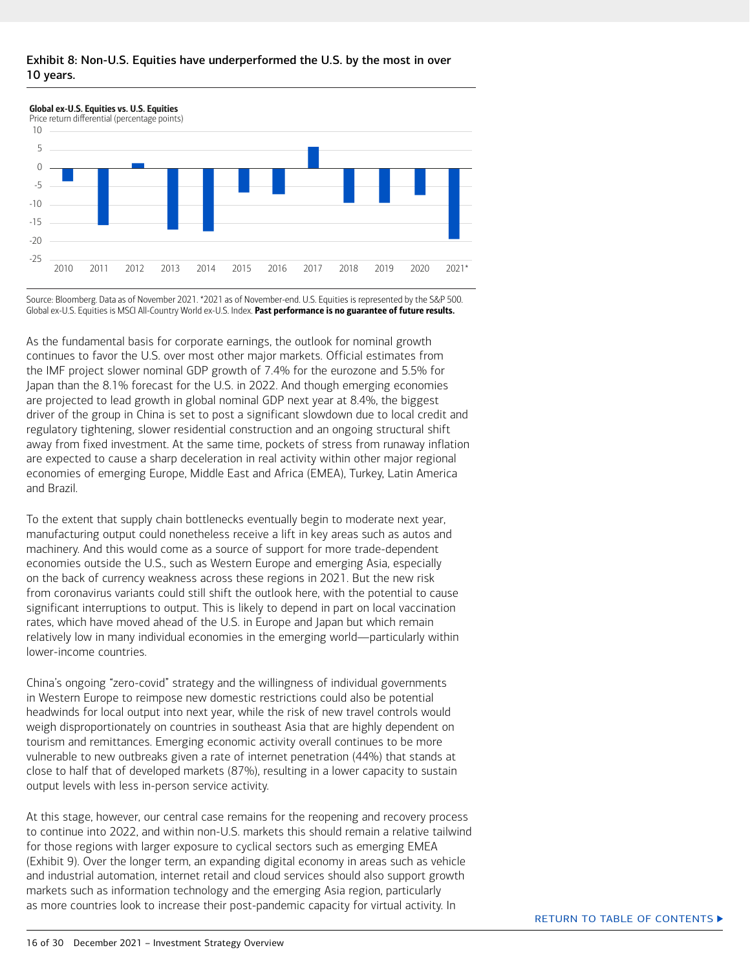#### Exhibit 8: Non-U.S. Equities have underperformed the U.S. by the most in over 10 years.



Source: Bloomberg. Data as of November 2021. \*2021 as of November-end. U.S. Equities is represented by the S&P 500. Global ex-U.S. Equities is MSCI All-Country World ex-U.S. Index. Past performance is no guarantee of future results.

As the fundamental basis for corporate earnings, the outlook for nominal growth continues to favor the U.S. over most other major markets. Official estimates from the IMF project slower nominal GDP growth of 7.4% for the eurozone and 5.5% for Japan than the 8.1% forecast for the U.S. in 2022. And though emerging economies are projected to lead growth in global nominal GDP next year at 8.4%, the biggest driver of the group in China is set to post a significant slowdown due to local credit and regulatory tightening, slower residential construction and an ongoing structural shift away from fixed investment. At the same time, pockets of stress from runaway inflation are expected to cause a sharp deceleration in real activity within other major regional economies of emerging Europe, Middle East and Africa (EMEA), Turkey, Latin America and Brazil.

To the extent that supply chain bottlenecks eventually begin to moderate next year, manufacturing output could nonetheless receive a lift in key areas such as autos and machinery. And this would come as a source of support for more trade-dependent economies outside the U.S., such as Western Europe and emerging Asia, especially on the back of currency weakness across these regions in 2021. But the new risk from coronavirus variants could still shift the outlook here, with the potential to cause significant interruptions to output. This is likely to depend in part on local vaccination rates, which have moved ahead of the U.S. in Europe and Japan but which remain relatively low in many individual economies in the emerging world—particularly within lower-income countries.

China's ongoing "zero-covid" strategy and the willingness of individual governments in Western Europe to reimpose new domestic restrictions could also be potential headwinds for local output into next year, while the risk of new travel controls would weigh disproportionately on countries in southeast Asia that are highly dependent on tourism and remittances. Emerging economic activity overall continues to be more vulnerable to new outbreaks given a rate of internet penetration (44%) that stands at close to half that of developed markets (87%), resulting in a lower capacity to sustain output levels with less in-person service activity.

At this stage, however, our central case remains for the reopening and recovery process to continue into 2022, and within non-U.S. markets this should remain a relative tailwind for those regions with larger exposure to cyclical sectors such as emerging EMEA (Exhibit 9). Over the longer term, an expanding digital economy in areas such as vehicle and industrial automation, internet retail and cloud services should also support growth markets such as information technology and the emerging Asia region, particularly as more countries look to increase their post-pandemic capacity for virtual activity. In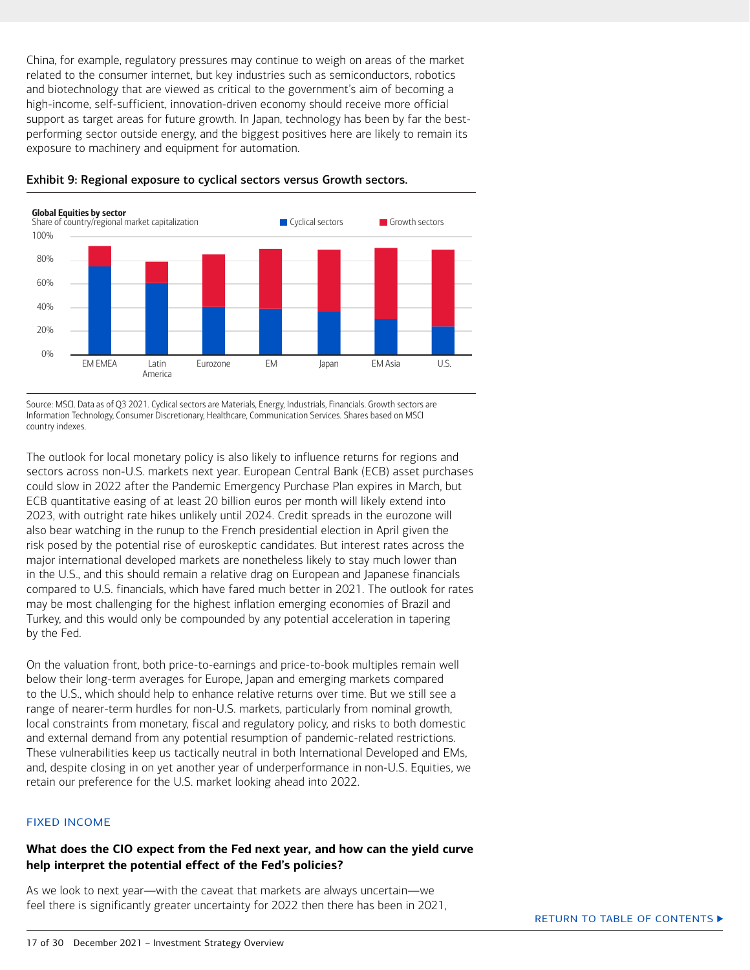<span id="page-16-0"></span>China, for example, regulatory pressures may continue to weigh on areas of the market related to the consumer internet, but key industries such as semiconductors, robotics and biotechnology that are viewed as critical to the government's aim of becoming a high-income, self-sufficient, innovation-driven economy should receive more official support as target areas for future growth. In Japan, technology has been by far the bestperforming sector outside energy, and the biggest positives here are likely to remain its exposure to machinery and equipment for automation.



Exhibit 9: Regional exposure to cyclical sectors versus Growth sectors.

Source: MSCI. Data as of Q3 2021. Cyclical sectors are Materials, Energy, Industrials, Financials. Growth sectors are Information Technology, Consumer Discretionary, Healthcare, Communication Services. Shares based on MSCI country indexes.

The outlook for local monetary policy is also likely to influence returns for regions and sectors across non-U.S. markets next year. European Central Bank (ECB) asset purchases could slow in 2022 after the Pandemic Emergency Purchase Plan expires in March, but ECB quantitative easing of at least 20 billion euros per month will likely extend into 2023, with outright rate hikes unlikely until 2024. Credit spreads in the eurozone will also bear watching in the runup to the French presidential election in April given the risk posed by the potential rise of euroskeptic candidates. But interest rates across the major international developed markets are nonetheless likely to stay much lower than in the U.S., and this should remain a relative drag on European and Japanese financials compared to U.S. financials, which have fared much better in 2021. The outlook for rates may be most challenging for the highest inflation emerging economies of Brazil and Turkey, and this would only be compounded by any potential acceleration in tapering by the Fed.

On the valuation front, both price-to-earnings and price-to-book multiples remain well below their long-term averages for Europe, Japan and emerging markets compared to the U.S., which should help to enhance relative returns over time. But we still see a range of nearer-term hurdles for non-U.S. markets, particularly from nominal growth, local constraints from monetary, fiscal and regulatory policy, and risks to both domestic and external demand from any potential resumption of pandemic-related restrictions. These vulnerabilities keep us tactically neutral in both International Developed and EMs, and, despite closing in on yet another year of underperformance in non-U.S. Equities, we retain our preference for the U.S. market looking ahead into 2022.

#### FIXED INCOME

#### **What does the CIO expect from the Fed next year, and how can the yield curve help interpret the potential effect of the Fed's policies?**

As we look to next year—with the caveat that markets are always uncertain—we feel there is significantly greater uncertainty for 2022 then there has been in 2021,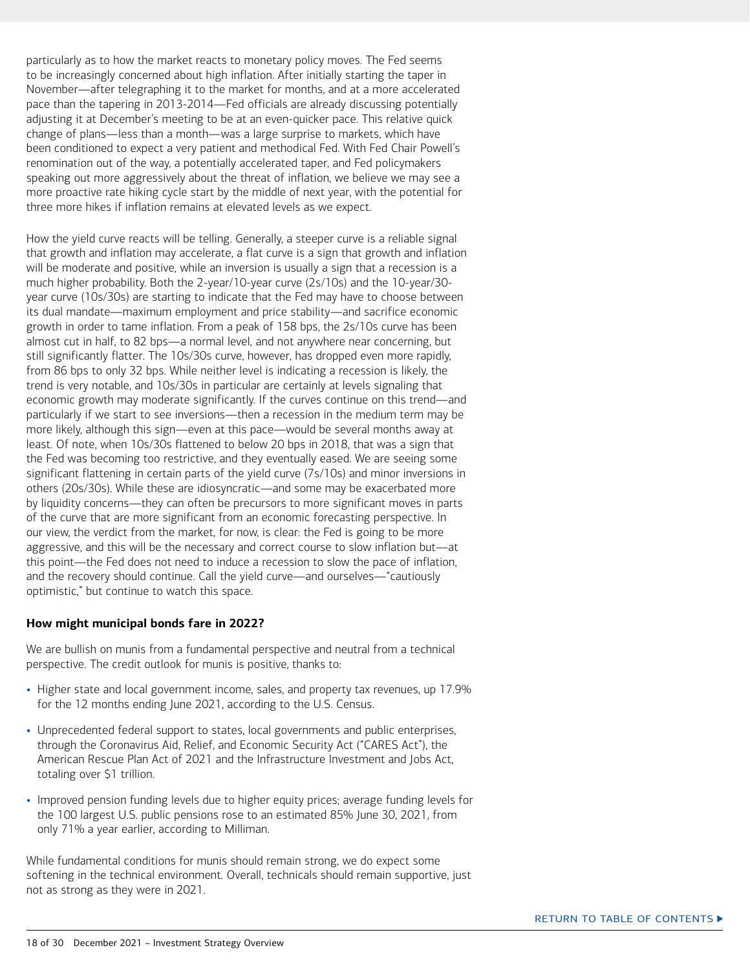<span id="page-17-0"></span>particularly as to how the market reacts to monetary policy moves. The Fed seems to be increasingly concerned about high inflation. After initially starting the taper in November—after telegraphing it to the market for months, and at a more accelerated pace than the tapering in 2013-2014—Fed officials are already discussing potentially adjusting it at December's meeting to be at an even-quicker pace. This relative quick change of plans—less than a month—was a large surprise to markets, which have been conditioned to expect a very patient and methodical Fed. With Fed Chair Powell's renomination out of the way, a potentially accelerated taper, and Fed policymakers speaking out more aggressively about the threat of inflation, we believe we may see a more proactive rate hiking cycle start by the middle of next year, with the potential for three more hikes if inflation remains at elevated levels as we expect.

How the yield curve reacts will be telling. Generally, a steeper curve is a reliable signal that growth and inflation may accelerate, a flat curve is a sign that growth and inflation will be moderate and positive, while an inversion is usually a sign that a recession is a much higher probability. Both the 2-year/10-year curve (2s/10s) and the 10-year/30 year curve (10s/30s) are starting to indicate that the Fed may have to choose between its dual mandate—maximum employment and price stability—and sacrifice economic growth in order to tame inflation. From a peak of 158 bps, the 2s/10s curve has been almost cut in half, to 82 bps—a normal level, and not anywhere near concerning, but still significantly flatter. The 10s/30s curve, however, has dropped even more rapidly, from 86 bps to only 32 bps. While neither level is indicating a recession is likely, the trend is very notable, and 10s/30s in particular are certainly at levels signaling that economic growth may moderate significantly. If the curves continue on this trend—and particularly if we start to see inversions—then a recession in the medium term may be more likely, although this sign—even at this pace—would be several months away at least. Of note, when 10s/30s flattened to below 20 bps in 2018, that was a sign that the Fed was becoming too restrictive, and they eventually eased. We are seeing some significant flattening in certain parts of the yield curve (7s/10s) and minor inversions in others (20s/30s). While these are idiosyncratic—and some may be exacerbated more by liquidity concerns—they can often be precursors to more significant moves in parts of the curve that are more significant from an economic forecasting perspective. In our view, the verdict from the market, for now, is clear: the Fed is going to be more aggressive, and this will be the necessary and correct course to slow inflation but—at this point—the Fed does not need to induce a recession to slow the pace of inflation, and the recovery should continue. Call the yield curve—and ourselves—"cautiously optimistic," but continue to watch this space.

#### **How might municipal bonds fare in 2022?**

We are bullish on munis from a fundamental perspective and neutral from a technical perspective. The credit outlook for munis is positive, thanks to:

- Higher state and local government income, sales, and property tax revenues, up 17.9% for the 12 months ending June 2021, according to the U.S. Census.
- Unprecedented federal support to states, local governments and public enterprises, through the Coronavirus Aid, Relief, and Economic Security Act ("CARES Act"), the American Rescue Plan Act of 2021 and the Infrastructure Investment and Jobs Act, totaling over \$1 trillion.
- Improved pension funding levels due to higher equity prices; average funding levels for the 100 largest U.S. public pensions rose to an estimated 85% June 30, 2021, from only 71% a year earlier, according to Milliman.

While fundamental conditions for munis should remain strong, we do expect some softening in the technical environment. Overall, technicals should remain supportive, just not as strong as they were in 2021.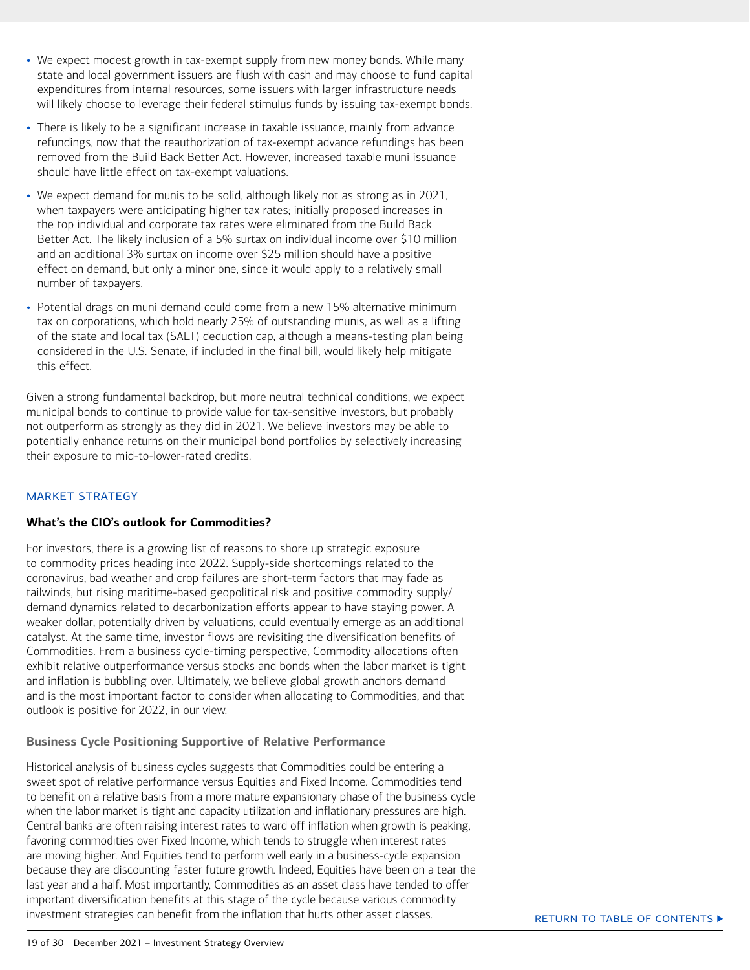- <span id="page-18-0"></span>• We expect modest growth in tax-exempt supply from new money bonds. While many state and local government issuers are flush with cash and may choose to fund capital expenditures from internal resources, some issuers with larger infrastructure needs will likely choose to leverage their federal stimulus funds by issuing tax-exempt bonds.
- There is likely to be a significant increase in taxable issuance, mainly from advance refundings, now that the reauthorization of tax-exempt advance refundings has been removed from the Build Back Better Act. However, increased taxable muni issuance should have little effect on tax-exempt valuations.
- We expect demand for munis to be solid, although likely not as strong as in 2021, when taxpayers were anticipating higher tax rates; initially proposed increases in the top individual and corporate tax rates were eliminated from the Build Back Better Act. The likely inclusion of a 5% surtax on individual income over \$10 million and an additional 3% surtax on income over \$25 million should have a positive effect on demand, but only a minor one, since it would apply to a relatively small number of taxpayers.
- Potential drags on muni demand could come from a new 15% alternative minimum tax on corporations, which hold nearly 25% of outstanding munis, as well as a lifting of the state and local tax (SALT) deduction cap, although a means-testing plan being considered in the U.S. Senate, if included in the final bill, would likely help mitigate this effect.

Given a strong fundamental backdrop, but more neutral technical conditions, we expect municipal bonds to continue to provide value for tax-sensitive investors, but probably not outperform as strongly as they did in 2021. We believe investors may be able to potentially enhance returns on their municipal bond portfolios by selectively increasing their exposure to mid-to-lower-rated credits.

#### MARKET STRATEGY

#### **What's the CIO's outlook for Commodities?**

For investors, there is a growing list of reasons to shore up strategic exposure to commodity prices heading into 2022. Supply-side shortcomings related to the coronavirus, bad weather and crop failures are short-term factors that may fade as tailwinds, but rising maritime-based geopolitical risk and positive commodity supply/ demand dynamics related to decarbonization efforts appear to have staying power. A weaker dollar, potentially driven by valuations, could eventually emerge as an additional catalyst. At the same time, investor flows are revisiting the diversification benefits of Commodities. From a business cycle-timing perspective, Commodity allocations often exhibit relative outperformance versus stocks and bonds when the labor market is tight and inflation is bubbling over. Ultimately, we believe global growth anchors demand and is the most important factor to consider when allocating to Commodities, and that outlook is positive for 2022, in our view.

#### **Business Cycle Positioning Supportive of Relative Performance**

Historical analysis of business cycles suggests that Commodities could be entering a sweet spot of relative performance versus Equities and Fixed Income. Commodities tend to benefit on a relative basis from a more mature expansionary phase of the business cycle when the labor market is tight and capacity utilization and inflationary pressures are high. Central banks are often raising interest rates to ward off inflation when growth is peaking, favoring commodities over Fixed Income, which tends to struggle when interest rates are moving higher. And Equities tend to perform well early in a business-cycle expansion because they are discounting faster future growth. Indeed, Equities have been on a tear the last year and a half. Most importantly, Commodities as an asset class have tended to offer important diversification benefits at this stage of the cycle because various commodity investment strategies can benefit from the inflation that hurts other asset classes.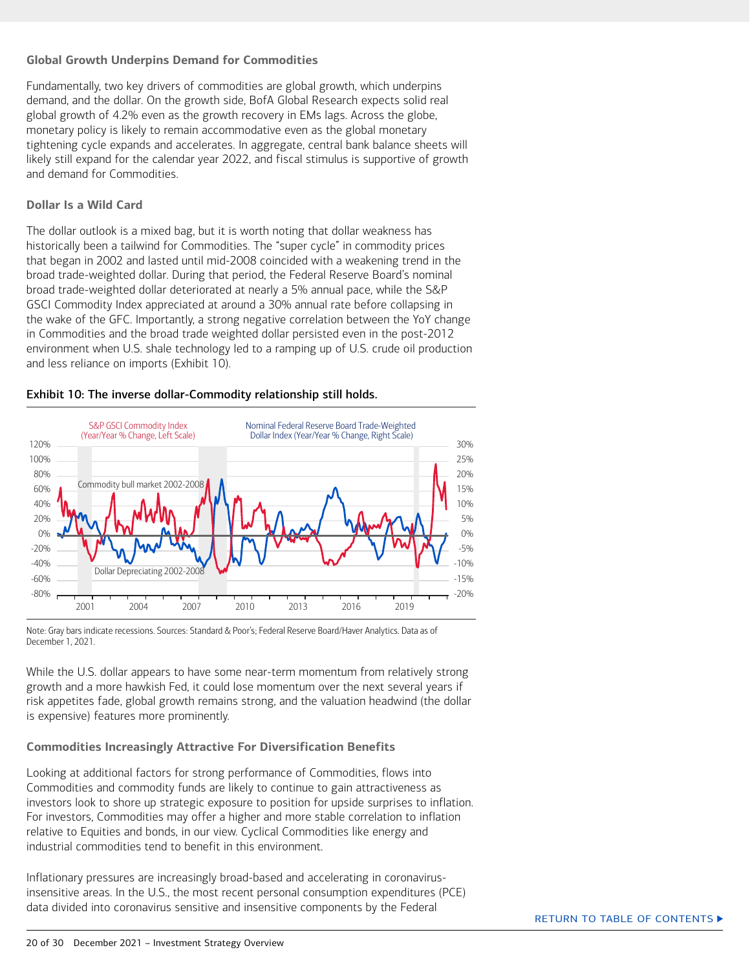#### **Global Growth Underpins Demand for Commodities**

Fundamentally, two key drivers of commodities are global growth, which underpins demand, and the dollar. On the growth side, BofA Global Research expects solid real global growth of 4.2% even as the growth recovery in EMs lags. Across the globe, monetary policy is likely to remain accommodative even as the global monetary tightening cycle expands and accelerates. In aggregate, central bank balance sheets will likely still expand for the calendar year 2022, and fiscal stimulus is supportive of growth and demand for Commodities.

#### **Dollar Is a Wild Card**

The dollar outlook is a mixed bag, but it is worth noting that dollar weakness has historically been a tailwind for Commodities. The "super cycle" in commodity prices that began in 2002 and lasted until mid-2008 coincided with a weakening trend in the broad trade-weighted dollar. During that period, the Federal Reserve Board's nominal broad trade-weighted dollar deteriorated at nearly a 5% annual pace, while the S&P GSCI Commodity Index appreciated at around a 30% annual rate before collapsing in the wake of the GFC. Importantly, a strong negative correlation between the YoY change in Commodities and the broad trade weighted dollar persisted even in the post-2012 environment when U.S. shale technology led to a ramping up of U.S. crude oil production and less reliance on imports (Exhibit 10).

#### Exhibit 10: The inverse dollar-Commodity relationship still holds.



Note: Gray bars indicate recessions. Sources: Standard & Poor's; Federal Reserve Board/Haver Analytics. Data as of December 1, 2021

While the U.S. dollar appears to have some near-term momentum from relatively strong growth and a more hawkish Fed, it could lose momentum over the next several years if risk appetites fade, global growth remains strong, and the valuation headwind (the dollar is expensive) features more prominently.

#### **Commodities Increasingly Attractive For Diversification Benefits**

Looking at additional factors for strong performance of Commodities, flows into Commodities and commodity funds are likely to continue to gain attractiveness as investors look to shore up strategic exposure to position for upside surprises to inflation. For investors, Commodities may offer a higher and more stable correlation to inflation relative to Equities and bonds, in our view. Cyclical Commodities like energy and industrial commodities tend to benefit in this environment.

Inflationary pressures are increasingly broad-based and accelerating in coronavirusinsensitive areas. In the U.S., the most recent personal consumption expenditures (PCE) data divided into coronavirus sensitive and insensitive components by the Federal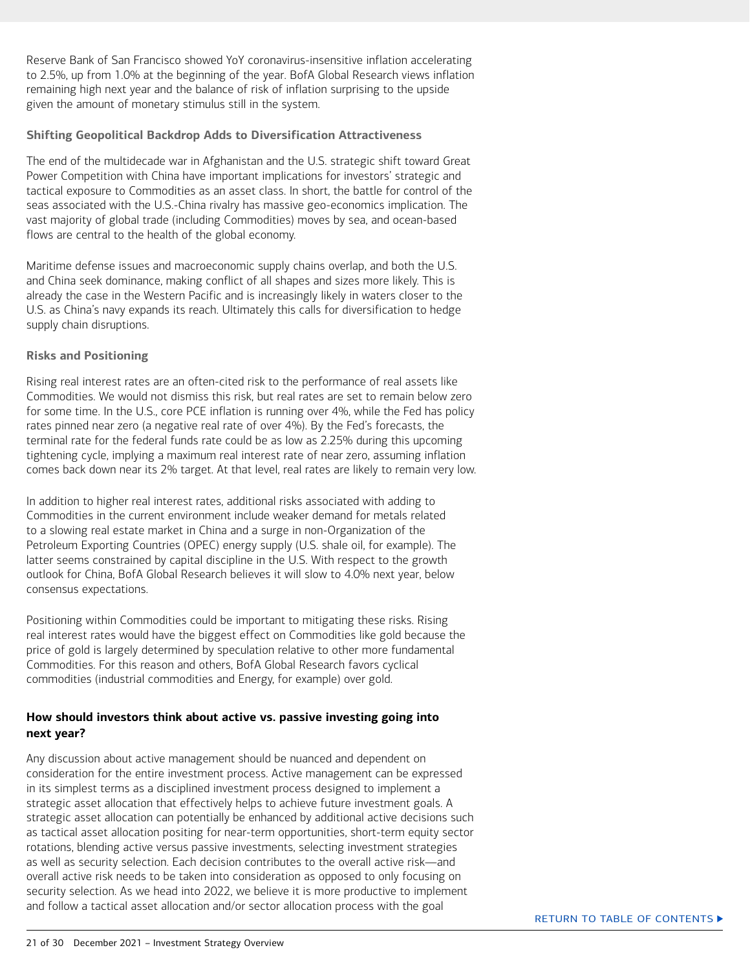<span id="page-20-0"></span>Reserve Bank of San Francisco showed YoY coronavirus-insensitive inflation accelerating to 2.5%, up from 1.0% at the beginning of the year. BofA Global Research views inflation remaining high next year and the balance of risk of inflation surprising to the upside given the amount of monetary stimulus still in the system.

#### **Shifting Geopolitical Backdrop Adds to Diversification Attractiveness**

The end of the multidecade war in Afghanistan and the U.S. strategic shift toward Great Power Competition with China have important implications for investors' strategic and tactical exposure to Commodities as an asset class. In short, the battle for control of the seas associated with the U.S.-China rivalry has massive geo-economics implication. The vast majority of global trade (including Commodities) moves by sea, and ocean-based flows are central to the health of the global economy.

Maritime defense issues and macroeconomic supply chains overlap, and both the U.S. and China seek dominance, making conflict of all shapes and sizes more likely. This is already the case in the Western Pacific and is increasingly likely in waters closer to the U.S. as China's navy expands its reach. Ultimately this calls for diversification to hedge supply chain disruptions.

#### **Risks and Positioning**

Rising real interest rates are an often-cited risk to the performance of real assets like Commodities. We would not dismiss this risk, but real rates are set to remain below zero for some time. In the U.S., core PCE inflation is running over 4%, while the Fed has policy rates pinned near zero (a negative real rate of over 4%). By the Fed's forecasts, the terminal rate for the federal funds rate could be as low as 2.25% during this upcoming tightening cycle, implying a maximum real interest rate of near zero, assuming inflation comes back down near its 2% target. At that level, real rates are likely to remain very low.

In addition to higher real interest rates, additional risks associated with adding to Commodities in the current environment include weaker demand for metals related to a slowing real estate market in China and a surge in non-Organization of the Petroleum Exporting Countries (OPEC) energy supply (U.S. shale oil, for example). The latter seems constrained by capital discipline in the U.S. With respect to the growth outlook for China, BofA Global Research believes it will slow to 4.0% next year, below consensus expectations.

Positioning within Commodities could be important to mitigating these risks. Rising real interest rates would have the biggest effect on Commodities like gold because the price of gold is largely determined by speculation relative to other more fundamental Commodities. For this reason and others, BofA Global Research favors cyclical commodities (industrial commodities and Energy, for example) over gold.

#### **How should investors think about active vs. passive investing going into next year?**

Any discussion about active management should be nuanced and dependent on consideration for the entire investment process. Active management can be expressed in its simplest terms as a disciplined investment process designed to implement a strategic asset allocation that effectively helps to achieve future investment goals. A strategic asset allocation can potentially be enhanced by additional active decisions such as tactical asset allocation positing for near-term opportunities, short-term equity sector rotations, blending active versus passive investments, selecting investment strategies as well as security selection. Each decision contributes to the overall active risk—and overall active risk needs to be taken into consideration as opposed to only focusing on security selection. As we head into 2022, we believe it is more productive to implement and follow a tactical asset allocation and/or sector allocation process with the goal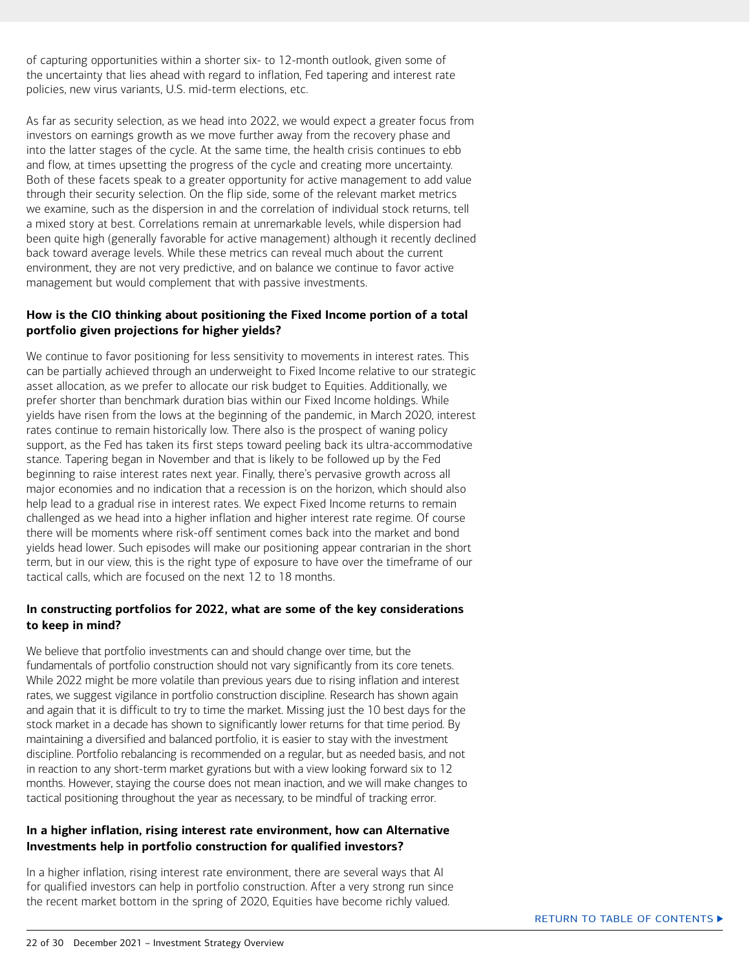<span id="page-21-0"></span>of capturing opportunities within a shorter six- to 12-month outlook, given some of the uncertainty that lies ahead with regard to inflation, Fed tapering and interest rate policies, new virus variants, U.S. mid-term elections, etc.

As far as security selection, as we head into 2022, we would expect a greater focus from investors on earnings growth as we move further away from the recovery phase and into the latter stages of the cycle. At the same time, the health crisis continues to ebb and flow, at times upsetting the progress of the cycle and creating more uncertainty. Both of these facets speak to a greater opportunity for active management to add value through their security selection. On the flip side, some of the relevant market metrics we examine, such as the dispersion in and the correlation of individual stock returns, tell a mixed story at best. Correlations remain at unremarkable levels, while dispersion had been quite high (generally favorable for active management) although it recently declined back toward average levels. While these metrics can reveal much about the current environment, they are not very predictive, and on balance we continue to favor active management but would complement that with passive investments.

#### **How is the CIO thinking about positioning the Fixed Income portion of a total portfolio given projections for higher yields?**

We continue to favor positioning for less sensitivity to movements in interest rates. This can be partially achieved through an underweight to Fixed Income relative to our strategic asset allocation, as we prefer to allocate our risk budget to Equities. Additionally, we prefer shorter than benchmark duration bias within our Fixed Income holdings. While yields have risen from the lows at the beginning of the pandemic, in March 2020, interest rates continue to remain historically low. There also is the prospect of waning policy support, as the Fed has taken its first steps toward peeling back its ultra-accommodative stance. Tapering began in November and that is likely to be followed up by the Fed beginning to raise interest rates next year. Finally, there's pervasive growth across all major economies and no indication that a recession is on the horizon, which should also help lead to a gradual rise in interest rates. We expect Fixed Income returns to remain challenged as we head into a higher inflation and higher interest rate regime. Of course there will be moments where risk-off sentiment comes back into the market and bond yields head lower. Such episodes will make our positioning appear contrarian in the short term, but in our view, this is the right type of exposure to have over the timeframe of our tactical calls, which are focused on the next 12 to 18 months.

#### **In constructing portfolios for 2022, what are some of the key considerations to keep in mind?**

We believe that portfolio investments can and should change over time, but the fundamentals of portfolio construction should not vary significantly from its core tenets. While 2022 might be more volatile than previous years due to rising inflation and interest rates, we suggest vigilance in portfolio construction discipline. Research has shown again and again that it is difficult to try to time the market. Missing just the 10 best days for the stock market in a decade has shown to significantly lower returns for that time period. By maintaining a diversified and balanced portfolio, it is easier to stay with the investment discipline. Portfolio rebalancing is recommended on a regular, but as needed basis, and not in reaction to any short-term market gyrations but with a view looking forward six to 12 months. However, staying the course does not mean inaction, and we will make changes to tactical positioning throughout the year as necessary, to be mindful of tracking error.

#### **In a higher inflation, rising interest rate environment, how can Alternative Investments help in portfolio construction for qualified investors?**

In a higher inflation, rising interest rate environment, there are several ways that AI for qualified investors can help in portfolio construction. After a very strong run since the recent market bottom in the spring of 2020, Equities have become richly valued.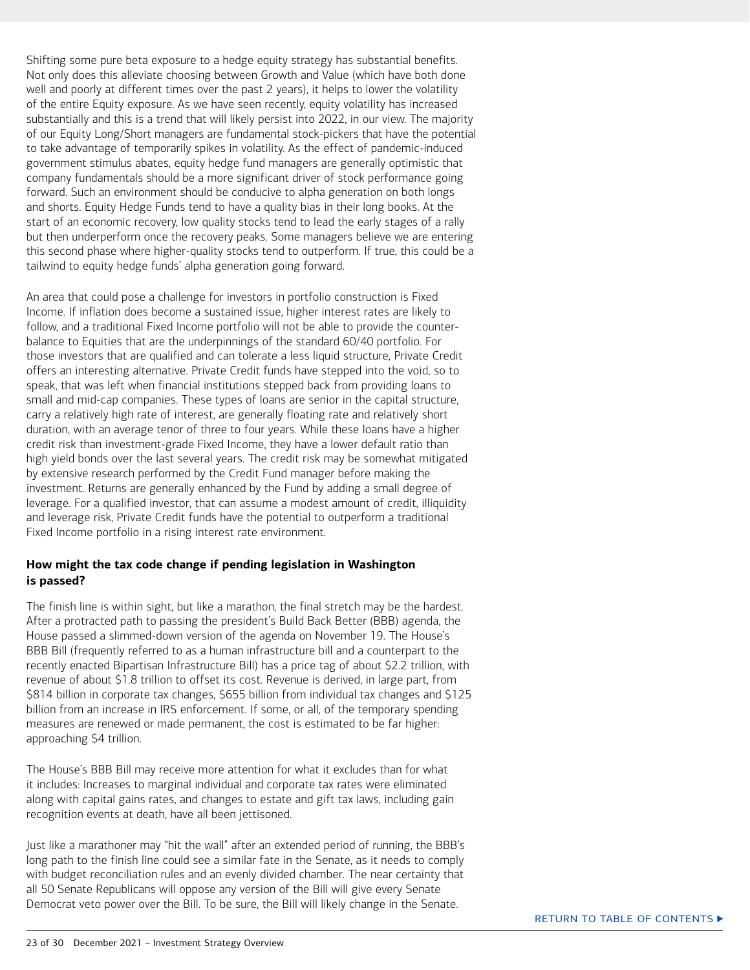<span id="page-22-0"></span>Shifting some pure beta exposure to a hedge equity strategy has substantial benefits. Not only does this alleviate choosing between Growth and Value (which have both done well and poorly at different times over the past 2 years), it helps to lower the volatility of the entire Equity exposure. As we have seen recently, equity volatility has increased substantially and this is a trend that will likely persist into 2022, in our view. The majority of our Equity Long/Short managers are fundamental stock-pickers that have the potential to take advantage of temporarily spikes in volatility. As the effect of pandemic-induced government stimulus abates, equity hedge fund managers are generally optimistic that company fundamentals should be a more significant driver of stock performance going forward. Such an environment should be conducive to alpha generation on both longs and shorts. Equity Hedge Funds tend to have a quality bias in their long books. At the start of an economic recovery, low quality stocks tend to lead the early stages of a rally but then underperform once the recovery peaks. Some managers believe we are entering this second phase where higher-quality stocks tend to outperform. If true, this could be a tailwind to equity hedge funds' alpha generation going forward.

An area that could pose a challenge for investors in portfolio construction is Fixed Income. If inflation does become a sustained issue, higher interest rates are likely to follow, and a traditional Fixed Income portfolio will not be able to provide the counterbalance to Equities that are the underpinnings of the standard 60/40 portfolio. For those investors that are qualified and can tolerate a less liquid structure, Private Credit offers an interesting alternative. Private Credit funds have stepped into the void, so to speak, that was left when financial institutions stepped back from providing loans to small and mid-cap companies. These types of loans are senior in the capital structure, carry a relatively high rate of interest, are generally floating rate and relatively short duration, with an average tenor of three to four years. While these loans have a higher credit risk than investment-grade Fixed Income, they have a lower default ratio than high yield bonds over the last several years. The credit risk may be somewhat mitigated by extensive research performed by the Credit Fund manager before making the investment. Returns are generally enhanced by the Fund by adding a small degree of leverage. For a qualified investor, that can assume a modest amount of credit, illiquidity and leverage risk, Private Credit funds have the potential to outperform a traditional Fixed Income portfolio in a rising interest rate environment.

#### **How might the tax code change if pending legislation in Washington is passed?**

The finish line is within sight, but like a marathon, the final stretch may be the hardest. After a protracted path to passing the president's Build Back Better (BBB) agenda, the House passed a slimmed-down version of the agenda on November 19. The House's BBB Bill (frequently referred to as a human infrastructure bill and a counterpart to the recently enacted Bipartisan Infrastructure Bill) has a price tag of about \$2.2 trillion, with revenue of about \$1.8 trillion to offset its cost. Revenue is derived, in large part, from \$814 billion in corporate tax changes, \$655 billion from individual tax changes and \$125 billion from an increase in IRS enforcement. If some, or all, of the temporary spending measures are renewed or made permanent, the cost is estimated to be far higher: approaching \$4 trillion.

The House's BBB Bill may receive more attention for what it excludes than for what it includes: Increases to marginal individual and corporate tax rates were eliminated along with capital gains rates, and changes to estate and gift tax laws, including gain recognition events at death, have all been jettisoned.

Just like a marathoner may "hit the wall" after an extended period of running, the BBB's long path to the finish line could see a similar fate in the Senate, as it needs to comply with budget reconciliation rules and an evenly divided chamber. The near certainty that all 50 Senate Republicans will oppose any version of the Bill will give every Senate Democrat veto power over the Bill. To be sure, the Bill will likely change in the Senate.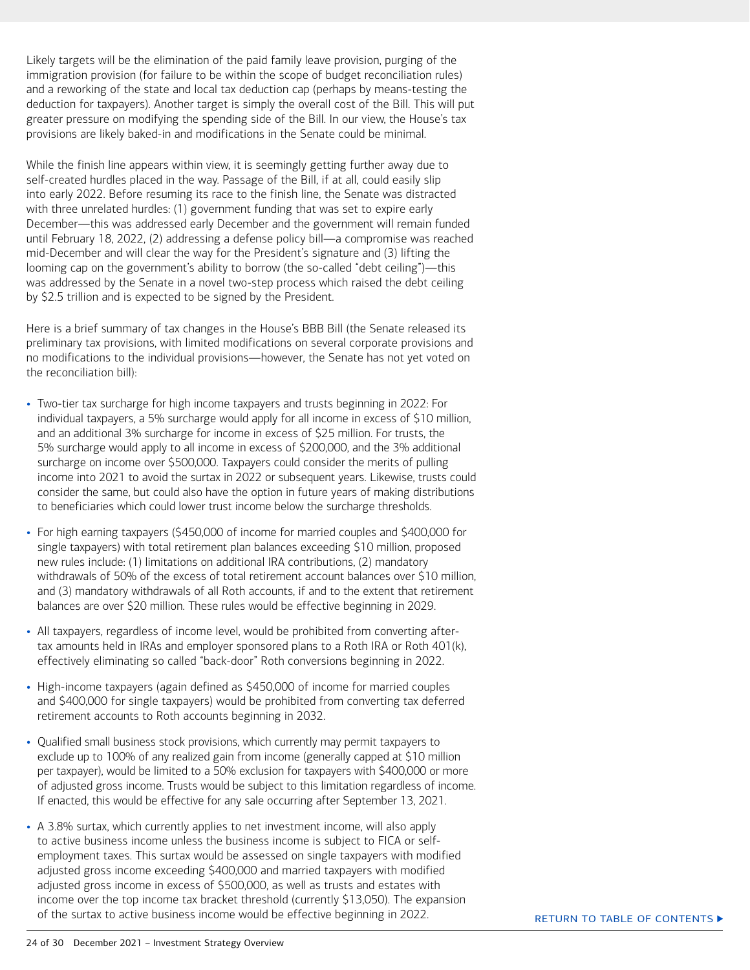Likely targets will be the elimination of the paid family leave provision, purging of the immigration provision (for failure to be within the scope of budget reconciliation rules) and a reworking of the state and local tax deduction cap (perhaps by means-testing the deduction for taxpayers). Another target is simply the overall cost of the Bill. This will put greater pressure on modifying the spending side of the Bill. In our view, the House's tax provisions are likely baked-in and modifications in the Senate could be minimal.

While the finish line appears within view, it is seemingly getting further away due to self-created hurdles placed in the way. Passage of the Bill, if at all, could easily slip into early 2022. Before resuming its race to the finish line, the Senate was distracted with three unrelated hurdles: (1) government funding that was set to expire early December—this was addressed early December and the government will remain funded until February 18, 2022, (2) addressing a defense policy bill—a compromise was reached mid-December and will clear the way for the President's signature and (3) lifting the looming cap on the government's ability to borrow (the so-called "debt ceiling")—this was addressed by the Senate in a novel two-step process which raised the debt ceiling by \$2.5 trillion and is expected to be signed by the President.

Here is a brief summary of tax changes in the House's BBB Bill (the Senate released its preliminary tax provisions, with limited modifications on several corporate provisions and no modifications to the individual provisions—however, the Senate has not yet voted on the reconciliation bill):

- Two-tier tax surcharge for high income taxpayers and trusts beginning in 2022: For individual taxpayers, a 5% surcharge would apply for all income in excess of \$10 million, and an additional 3% surcharge for income in excess of \$25 million. For trusts, the 5% surcharge would apply to all income in excess of \$200,000, and the 3% additional surcharge on income over \$500,000. Taxpayers could consider the merits of pulling income into 2021 to avoid the surtax in 2022 or subsequent years. Likewise, trusts could consider the same, but could also have the option in future years of making distributions to beneficiaries which could lower trust income below the surcharge thresholds.
- For high earning taxpayers (\$450,000 of income for married couples and \$400,000 for single taxpayers) with total retirement plan balances exceeding \$10 million, proposed new rules include: (1) limitations on additional IRA contributions, (2) mandatory withdrawals of 50% of the excess of total retirement account balances over \$10 million, and (3) mandatory withdrawals of all Roth accounts, if and to the extent that retirement balances are over \$20 million. These rules would be effective beginning in 2029.
- All taxpayers, regardless of income level, would be prohibited from converting aftertax amounts held in IRAs and employer sponsored plans to a Roth IRA or Roth 401(k), effectively eliminating so called "back-door" Roth conversions beginning in 2022.
- High-income taxpayers (again defined as \$450,000 of income for married couples and \$400,000 for single taxpayers) would be prohibited from converting tax deferred retirement accounts to Roth accounts beginning in 2032.
- Qualified small business stock provisions, which currently may permit taxpayers to exclude up to 100% of any realized gain from income (generally capped at \$10 million per taxpayer), would be limited to a 50% exclusion for taxpayers with \$400,000 or more of adjusted gross income. Trusts would be subject to this limitation regardless of income. If enacted, this would be effective for any sale occurring after September 13, 2021.
- A 3.8% surtax, which currently applies to net investment income, will also apply to active business income unless the business income is subject to FICA or selfemployment taxes. This surtax would be assessed on single taxpayers with modified adjusted gross income exceeding \$400,000 and married taxpayers with modified adjusted gross income in excess of \$500,000, as well as trusts and estates with income over the top income tax bracket threshold (currently \$13,050). The expansion of the surtax to active business income would be effective beginning in 2022.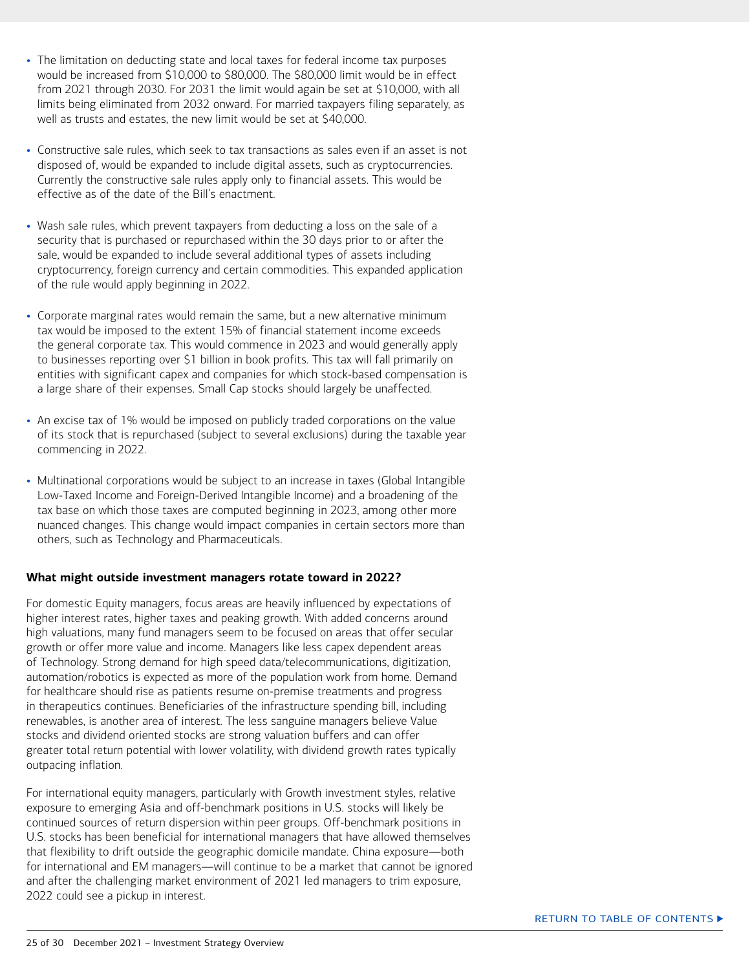- <span id="page-24-0"></span>• The limitation on deducting state and local taxes for federal income tax purposes would be increased from \$10,000 to \$80,000. The \$80,000 limit would be in effect from 2021 through 2030. For 2031 the limit would again be set at \$10,000, with all limits being eliminated from 2032 onward. For married taxpayers filing separately, as well as trusts and estates, the new limit would be set at \$40,000.
- Constructive sale rules, which seek to tax transactions as sales even if an asset is not disposed of, would be expanded to include digital assets, such as cryptocurrencies. Currently the constructive sale rules apply only to financial assets. This would be effective as of the date of the Bill's enactment.
- Wash sale rules, which prevent taxpayers from deducting a loss on the sale of a security that is purchased or repurchased within the 30 days prior to or after the sale, would be expanded to include several additional types of assets including cryptocurrency, foreign currency and certain commodities. This expanded application of the rule would apply beginning in 2022.
- Corporate marginal rates would remain the same, but a new alternative minimum tax would be imposed to the extent 15% of financial statement income exceeds the general corporate tax. This would commence in 2023 and would generally apply to businesses reporting over \$1 billion in book profits. This tax will fall primarily on entities with significant capex and companies for which stock-based compensation is a large share of their expenses. Small Cap stocks should largely be unaffected.
- An excise tax of 1% would be imposed on publicly traded corporations on the value of its stock that is repurchased (subject to several exclusions) during the taxable year commencing in 2022.
- Multinational corporations would be subject to an increase in taxes (Global Intangible Low-Taxed Income and Foreign-Derived Intangible Income) and a broadening of the tax base on which those taxes are computed beginning in 2023, among other more nuanced changes. This change would impact companies in certain sectors more than others, such as Technology and Pharmaceuticals.

#### **What might outside investment managers rotate toward in 2022?**

For domestic Equity managers, focus areas are heavily influenced by expectations of higher interest rates, higher taxes and peaking growth. With added concerns around high valuations, many fund managers seem to be focused on areas that offer secular growth or offer more value and income. Managers like less capex dependent areas of Technology. Strong demand for high speed data/telecommunications, digitization, automation/robotics is expected as more of the population work from home. Demand for healthcare should rise as patients resume on-premise treatments and progress in therapeutics continues. Beneficiaries of the infrastructure spending bill, including renewables, is another area of interest. The less sanguine managers believe Value stocks and dividend oriented stocks are strong valuation buffers and can offer greater total return potential with lower volatility, with dividend growth rates typically outpacing inflation.

For international equity managers, particularly with Growth investment styles, relative exposure to emerging Asia and off-benchmark positions in U.S. stocks will likely be continued sources of return dispersion within peer groups. Off-benchmark positions in U.S. stocks has been beneficial for international managers that have allowed themselves that flexibility to drift outside the geographic domicile mandate. China exposure—both for international and EM managers—will continue to be a market that cannot be ignored and after the challenging market environment of 2021 led managers to trim exposure, 2022 could see a pickup in interest.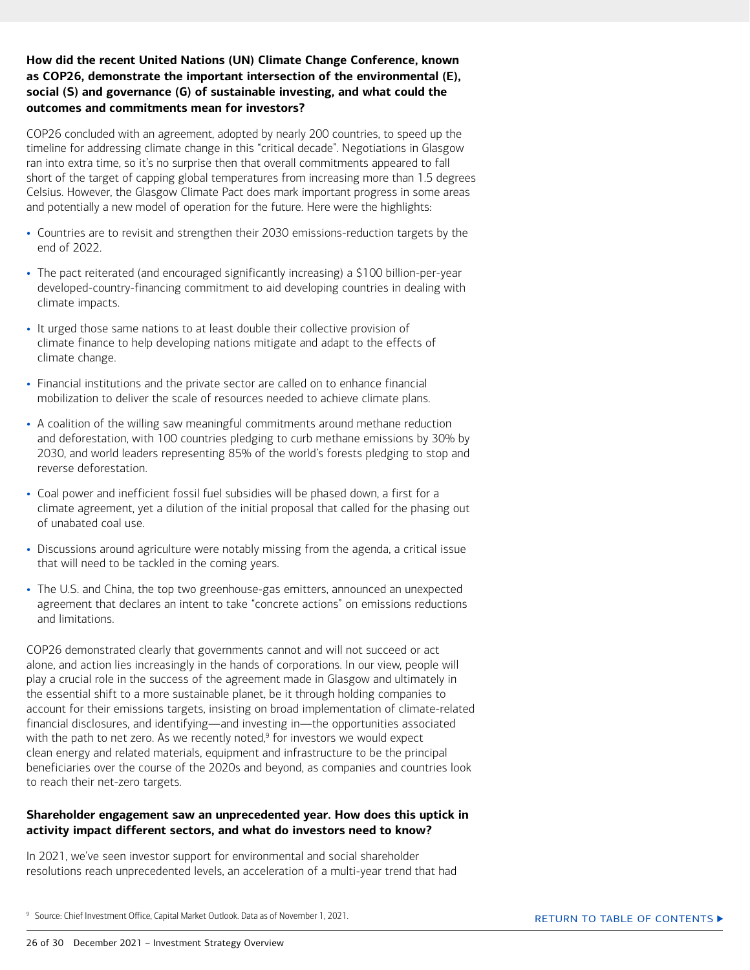#### <span id="page-25-0"></span>**How did the recent United Nations (UN) Climate Change Conference, known as COP26, demonstrate the important intersection of the environmental (E), social (S) and governance (G) of sustainable investing, and what could the outcomes and commitments mean for investors?**

COP26 concluded with an agreement, adopted by nearly 200 countries, to speed up the timeline for addressing climate change in this "critical decade". Negotiations in Glasgow ran into extra time, so it's no surprise then that overall commitments appeared to fall short of the target of capping global temperatures from increasing more than 1.5 degrees Celsius. However, the Glasgow Climate Pact does mark important progress in some areas and potentially a new model of operation for the future. Here were the highlights:

- Countries are to revisit and strengthen their 2030 emissions-reduction targets by the end of 2022.
- The pact reiterated (and encouraged significantly increasing) a \$100 billion-per-year developed-country-financing commitment to aid developing countries in dealing with climate impacts.
- It urged those same nations to at least double their collective provision of climate finance to help developing nations mitigate and adapt to the effects of climate change.
- Financial institutions and the private sector are called on to enhance financial mobilization to deliver the scale of resources needed to achieve climate plans.
- A coalition of the willing saw meaningful commitments around methane reduction and deforestation, with 100 countries pledging to curb methane emissions by 30% by 2030, and world leaders representing 85% of the world's forests pledging to stop and reverse deforestation.
- Coal power and inefficient fossil fuel subsidies will be phased down, a first for a climate agreement, yet a dilution of the initial proposal that called for the phasing out of unabated coal use.
- Discussions around agriculture were notably missing from the agenda, a critical issue that will need to be tackled in the coming years.
- The U.S. and China, the top two greenhouse-gas emitters, announced an unexpected agreement that declares an intent to take "concrete actions" on emissions reductions and limitations.

COP26 demonstrated clearly that governments cannot and will not succeed or act alone, and action lies increasingly in the hands of corporations. In our view, people will play a crucial role in the success of the agreement made in Glasgow and ultimately in the essential shift to a more sustainable planet, be it through holding companies to account for their emissions targets, insisting on broad implementation of climate-related financial disclosures, and identifying—and investing in—the opportunities associated with the path to net zero. As we recently noted, $9$  for investors we would expect clean energy and related materials, equipment and infrastructure to be the principal beneficiaries over the course of the 2020s and beyond, as companies and countries look to reach their net-zero targets.

#### **Shareholder engagement saw an unprecedented year. How does this uptick in activity impact different sectors, and what do investors need to know?**

In 2021, we've seen investor support for environmental and social shareholder resolutions reach unprecedented levels, an acceleration of a multi-year trend that had

<sup>9</sup> Source: Chief Investment Office, Capital Market Outlook. Data as of November 1, 2021.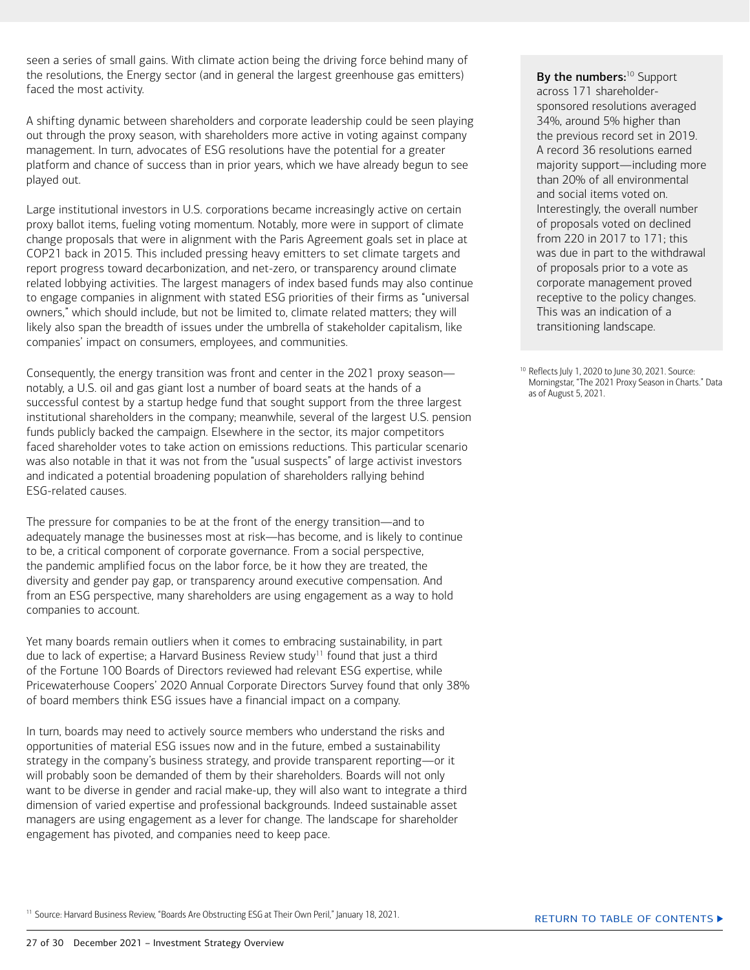seen a series of small gains. With climate action being the driving force behind many of the resolutions, the Energy sector (and in general the largest greenhouse gas emitters) faced the most activity.

A shifting dynamic between shareholders and corporate leadership could be seen playing out through the proxy season, with shareholders more active in voting against company management. In turn, advocates of ESG resolutions have the potential for a greater platform and chance of success than in prior years, which we have already begun to see played out.

Large institutional investors in U.S. corporations became increasingly active on certain proxy ballot items, fueling voting momentum. Notably, more were in support of climate change proposals that were in alignment with the Paris Agreement goals set in place at COP21 back in 2015. This included pressing heavy emitters to set climate targets and report progress toward decarbonization, and net-zero, or transparency around climate related lobbying activities. The largest managers of index based funds may also continue to engage companies in alignment with stated ESG priorities of their firms as "universal owners," which should include, but not be limited to, climate related matters; they will likely also span the breadth of issues under the umbrella of stakeholder capitalism, like companies' impact on consumers, employees, and communities.

Consequently, the energy transition was front and center in the 2021 proxy season notably, a U.S. oil and gas giant lost a number of board seats at the hands of a successful contest by a startup hedge fund that sought support from the three largest institutional shareholders in the company; meanwhile, several of the largest U.S. pension funds publicly backed the campaign. Elsewhere in the sector, its major competitors faced shareholder votes to take action on emissions reductions. This particular scenario was also notable in that it was not from the "usual suspects" of large activist investors and indicated a potential broadening population of shareholders rallying behind ESG-related causes.

The pressure for companies to be at the front of the energy transition—and to adequately manage the businesses most at risk—has become, and is likely to continue to be, a critical component of corporate governance. From a social perspective, the pandemic amplified focus on the labor force, be it how they are treated, the diversity and gender pay gap, or transparency around executive compensation. And from an ESG perspective, many shareholders are using engagement as a way to hold companies to account.

Yet many boards remain outliers when it comes to embracing sustainability, in part due to lack of expertise; a Harvard Business Review study<sup>11</sup> found that just a third of the Fortune 100 Boards of Directors reviewed had relevant ESG expertise, while Pricewaterhouse Coopers' 2020 Annual Corporate Directors Survey found that only 38% of board members think ESG issues have a financial impact on a company.

In turn, boards may need to actively source members who understand the risks and opportunities of material ESG issues now and in the future, embed a sustainability strategy in the company's business strategy, and provide transparent reporting—or it will probably soon be demanded of them by their shareholders. Boards will not only want to be diverse in gender and racial make-up, they will also want to integrate a third dimension of varied expertise and professional backgrounds. Indeed sustainable asset managers are using engagement as a lever for change. The landscape for shareholder engagement has pivoted, and companies need to keep pace.

By the numbers:<sup>10</sup> Support across 171 shareholdersponsored resolutions averaged 34%, around 5% higher than the previous record set in 2019. A record 36 resolutions earned majority support—including more than 20% of all environmental and social items voted on. Interestingly, the overall number of proposals voted on declined from 220 in 2017 to 171; this was due in part to the withdrawal of proposals prior to a vote as corporate management proved receptive to the policy changes. This was an indication of a transitioning landscape.

10 Reflects July 1, 2020 to June 30, 2021. Source: Morningstar, "The 2021 Proxy Season in Charts." Data as of August 5, 2021.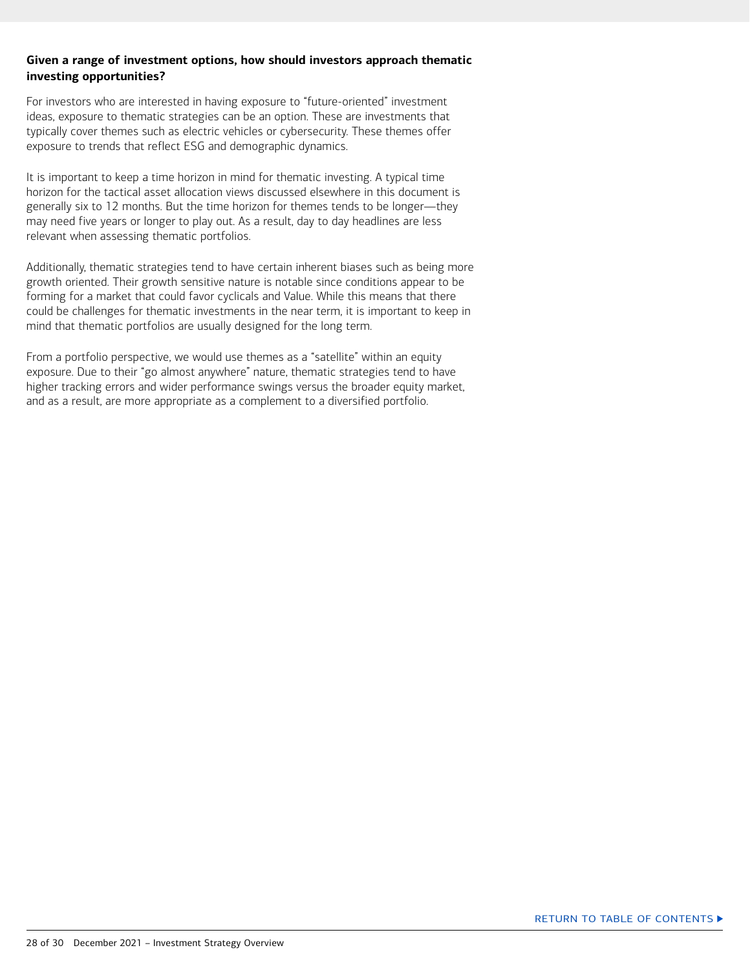#### <span id="page-27-0"></span>**Given a range of investment options, how should investors approach thematic investing opportunities?**

For investors who are interested in having exposure to "future-oriented" investment ideas, exposure to thematic strategies can be an option. These are investments that typically cover themes such as electric vehicles or cybersecurity. These themes offer exposure to trends that reflect ESG and demographic dynamics.

It is important to keep a time horizon in mind for thematic investing. A typical time horizon for the tactical asset allocation views discussed elsewhere in this document is generally six to 12 months. But the time horizon for themes tends to be longer—they may need five years or longer to play out. As a result, day to day headlines are less relevant when assessing thematic portfolios.

Additionally, thematic strategies tend to have certain inherent biases such as being more growth oriented. Their growth sensitive nature is notable since conditions appear to be forming for a market that could favor cyclicals and Value. While this means that there could be challenges for thematic investments in the near term, it is important to keep in mind that thematic portfolios are usually designed for the long term.

From a portfolio perspective, we would use themes as a "satellite" within an equity exposure. Due to their "go almost anywhere" nature, thematic strategies tend to have higher tracking errors and wider performance swings versus the broader equity market, and as a result, are more appropriate as a complement to a diversified portfolio.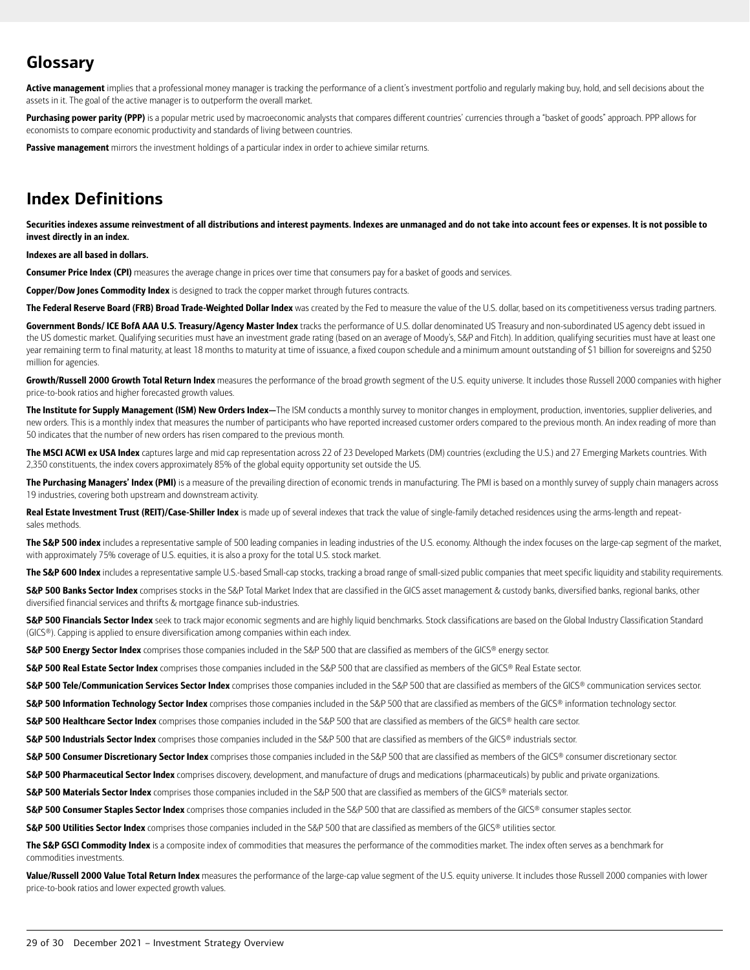# **Glossary**

Active management implies that a professional money manager is tracking the performance of a client's investment portfolio and regularly making buy, hold, and sell decisions about the assets in it. The goal of the active manager is to outperform the overall market.

Purchasing power parity (PPP) is a popular metric used by macroeconomic analysts that compares different countries' currencies through a "basket of goods" approach. PPP allows for economists to compare economic productivity and standards of living between countries.

Passive management mirrors the investment holdings of a particular index in order to achieve similar returns.

# **Index Definitions**

Securities indexes assume reinvestment of all distributions and interest payments. Indexes are unmanaged and do not take into account fees or expenses. It is not possible to invest directly in an index.

#### Indexes are all based in dollars.

Consumer Price Index (CPI) measures the average change in prices over time that consumers pay for a basket of goods and services.

Copper/Dow Jones Commodity Index is designed to track the copper market through futures contracts.

The Federal Reserve Board (FRB) Broad Trade-Weighted Dollar Index was created by the Fed to measure the value of the U.S. dollar, based on its competitiveness versus trading partners.

Government Bonds/ ICE BofA AAA U.S. Treasury/Agency Master Index tracks the performance of U.S. dollar denominated US Treasury and non-subordinated US agency debt issued in the US domestic market. Qualifying securities must have an investment grade rating (based on an average of Moody's, S&P and Fitch). In addition, qualifying securities must have at least one year remaining term to final maturity, at least 18 months to maturity at time of issuance, a fixed coupon schedule and a minimum amount outstanding of \$1 billion for sovereigns and \$250 million for agencies.

Growth/Russell 2000 Growth Total Return Index measures the performance of the broad growth segment of the U.S. equity universe. It includes those Russell 2000 companies with higher price-to-book ratios and higher forecasted growth values.

The Institute for Supply Management (ISM) New Orders Index-The ISM conducts a monthly survey to monitor changes in employment, production, inventories, supplier deliveries, and new orders. This is a monthly index that measures the number of participants who have reported increased customer orders compared to the previous month. An index reading of more than 50 indicates that the number of new orders has risen compared to the previous month.

The MSCI ACWI ex USA Index captures large and mid cap representation across 22 of 23 Developed Markets (DM) countries (excluding the U.S.) and 27 Emerging Markets countries. With 2,350 constituents, the index covers approximately 85% of the global equity opportunity set outside the US.

The Purchasing Managers' Index (PMI) is a measure of the prevailing direction of economic trends in manufacturing. The PMI is based on a monthly survey of supply chain managers across 19 industries, covering both upstream and downstream activity.

Real Estate Investment Trust (REIT)/Case-Shiller Index is made up of several indexes that track the value of single-family detached residences using the arms-length and repeatsales methods.

The S&P 500 index includes a representative sample of 500 leading companies in leading industries of the U.S. economy. Although the index focuses on the large-cap segment of the market, with approximately 75% coverage of U.S. equities, it is also a proxy for the total U.S. stock market.

The S&P 600 Index includes a representative sample U.S.-based Small-cap stocks, tracking a broad range of small-sized public companies that meet specific liquidity and stability requirements.

S&P 500 Banks Sector Index comprises stocks in the S&P Total Market Index that are classified in the GICS asset management & custody banks, diversified banks, regional banks, other diversified financial services and thrifts & mortgage finance sub-industries.

S&P 500 Financials Sector Index seek to track major economic segments and are highly liquid benchmarks. Stock classifications are based on the Global Industry Classification Standard (GICS®). Capping is applied to ensure diversification among companies within each index.

S&P 500 Energy Sector Index comprises those companies included in the S&P 500 that are classified as members of the GICS® energy sector.

S&P 500 Real Estate Sector Index comprises those companies included in the S&P 500 that are classified as members of the GICS® Real Estate sector.

S&P 500 Tele/Communication Services Sector Index comprises those companies included in the S&P 500 that are classified as members of the GICS® communication services sector.

S&P 500 Information Technology Sector Index comprises those companies included in the S&P 500 that are classified as members of the GICS® information technology sector.

S&P 500 Healthcare Sector Index comprises those companies included in the S&P 500 that are classified as members of the GICS® health care sector.

S&P 500 Industrials Sector Index comprises those companies included in the S&P 500 that are classified as members of the GICS® industrials sector.

S&P 500 Consumer Discretionary Sector Index comprises those companies included in the S&P 500 that are classified as members of the GICS® consumer discretionary sector.

S&P 500 Pharmaceutical Sector Index comprises discovery, development, and manufacture of drugs and medications (pharmaceuticals) by public and private organizations.

S&P 500 Materials Sector Index comprises those companies included in the S&P 500 that are classified as members of the GICS® materials sector.

S&P 500 Consumer Staples Sector Index comprises those companies included in the S&P 500 that are classified as members of the GICS® consumer staples sector.

S&P 500 Utilities Sector Index comprises those companies included in the S&P 500 that are classified as members of the GICS® utilities sector.

The S&P GSCI Commodity Index is a composite index of commodities that measures the performance of the commodities market. The index often serves as a benchmark for commodities investments.

Value/Russell 2000 Value Total Return Index measures the performance of the large-cap value segment of the U.S. equity universe. It includes those Russell 2000 companies with lower price-to-book ratios and lower expected growth values.